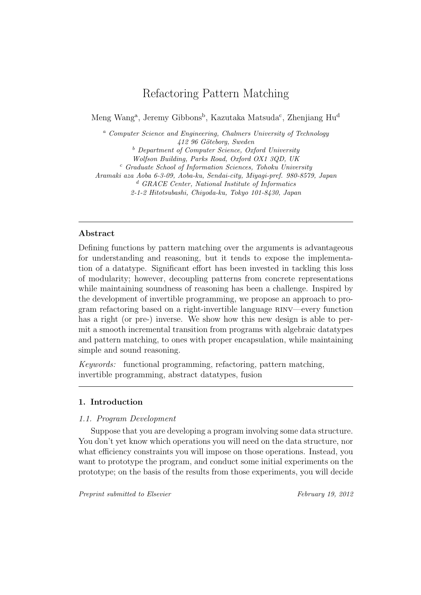# Refactoring Pattern Matching

Meng Wang<sup>a</sup>, Jeremy Gibbons<sup>b</sup>, Kazutaka Matsuda<sup>c</sup>, Zhenjiang Hu<sup>d</sup>

*<sup>a</sup> Computer Science and Engineering, Chalmers University of Technology 412 96 G¨oteborg, Sweden <sup>b</sup> Department of Computer Science, Oxford University Wolfson Building, Parks Road, Oxford OX1 3QD, UK <sup>c</sup> Graduate School of Information Sciences, Tohoku University Aramaki aza Aoba 6-3-09, Aoba-ku, Sendai-city, Miyagi-pref. 980-8579, Japan <sup>d</sup> GRACE Center, National Institute of Informatics 2-1-2 Hitotsubashi, Chiyoda-ku, Tokyo 101-8430, Japan*

## **Abstract**

Defining functions by pattern matching over the arguments is advantageous for understanding and reasoning, but it tends to expose the implementation of a datatype. Significant effort has been invested in tackling this loss of modularity; however, decoupling patterns from concrete representations while maintaining soundness of reasoning has been a challenge. Inspired by the development of invertible programming, we propose an approach to program refactoring based on a right-invertible language RINV—every function has a right (or pre-) inverse. We show how this new design is able to permit a smooth incremental transition from programs with algebraic datatypes and pattern matching, to ones with proper encapsulation, while maintaining simple and sound reasoning.

*Keywords:* functional programming, refactoring, pattern matching, invertible programming, abstract datatypes, fusion

# **1. Introduction**

## *1.1. Program Development*

Suppose that you are developing a program involving some data structure. You don't yet know which operations you will need on the data structure, nor what efficiency constraints you will impose on those operations. Instead, you want to prototype the program, and conduct some initial experiments on the prototype; on the basis of the results from those experiments, you will decide

*Preprint submitted to Elsevier February 19, 2012*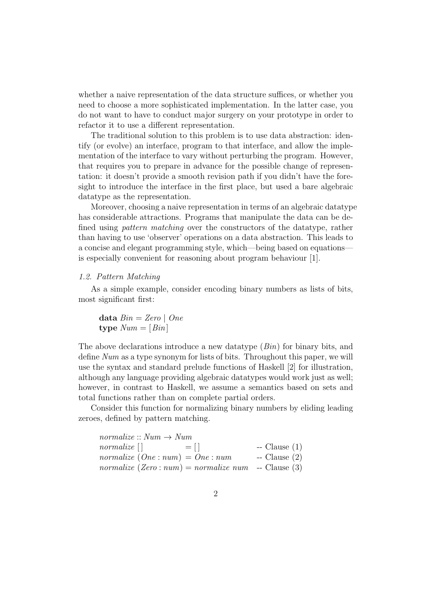whether a naive representation of the data structure suffices, or whether you need to choose a more sophisticated implementation. In the latter case, you do not want to have to conduct major surgery on your prototype in order to refactor it to use a different representation.

The traditional solution to this problem is to use data abstraction: identify (or evolve) an interface, program to that interface, and allow the implementation of the interface to vary without perturbing the program. However, that requires you to prepare in advance for the possible change of representation: it doesn't provide a smooth revision path if you didn't have the foresight to introduce the interface in the first place, but used a bare algebraic datatype as the representation.

Moreover, choosing a naive representation in terms of an algebraic datatype has considerable attractions. Programs that manipulate the data can be defined using *pattern matching* over the constructors of the datatype, rather than having to use 'observer' operations on a data abstraction. This leads to a concise and elegant programming style, which—being based on equations is especially convenient for reasoning about program behaviour [1].

## *1.2. Pattern Matching*

As a simple example, consider encoding binary numbers as lists of bits, most significant first:

$$
data Bin = Zero | One
$$
  
type Num = [Bin]

The above declarations introduce a new datatype (*Bin*) for binary bits, and define *Num* as a type synonym for lists of bits. Throughout this paper, we will use the syntax and standard prelude functions of Haskell [2] for illustration, although any language providing algebraic datatypes would work just as well; however, in contrast to Haskell, we assume a semantics based on sets and total functions rather than on complete partial orders.

Consider this function for normalizing binary numbers by eliding leading zeroes, defined by pattern matching.

| normalize :: $Num \rightarrow Num$                   |          |                   |
|------------------------------------------------------|----------|-------------------|
| normalize []                                         | $=$ $  $ | $\sim$ Clause (1) |
| normalize $(One: num) = One: num$                    |          | $\sim$ Clause (2) |
| normalize $(Zero:num) = normalize num$ -- Clause (3) |          |                   |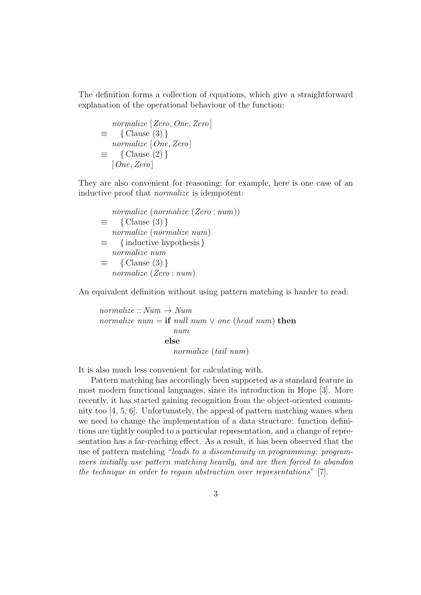The definition forms a collection of equations, which give a straightforward explanation of the operational behaviour of the function:

$$
normalize [Zero, One, Zero]
$$
  
= { clause (3)}  
*normalize* [One, Zero]  
= { clause (2)}  
[One, Zero]

They are also convenient for reasoning; for example, here is one case of an inductive proof that *normalize* is idempotent:

*normalize* (*normalize* (*Zero* : *num*)) *≡ {* Clause (3) *} normalize* (*normalize num*) *≡ {* inductive hypothesis *} normalize num ≡ {* Clause (3) *} normalize* (*Zero* : *num*)

An equivalent definition without using pattern matching is harder to read:

*normalize* :: *Num → Num*  $normalize num = \textbf{if null num} \lor one (head num) \textbf{then}$ *num* **else** *normalize* (*tail num*)

It is also much less convenient for calculating with.

Pattern matching has accordingly been supported as a standard feature in most modern functional languages, since its introduction in Hope [3]. More recently, it has started gaining recognition from the object-oriented community too [4, 5, 6]. Unfortunately, the appeal of pattern matching wanes when we need to change the implementation of a data structure: function definitions are tightly coupled to a particular representation, and a change of representation has a far-reaching effect. As a result, it has been observed that the use of pattern matching "*leads to a discontinuity in programming: programmers initially use pattern matching heavily, and are then forced to abandon the technique in order to regain abstraction over representations*" [7].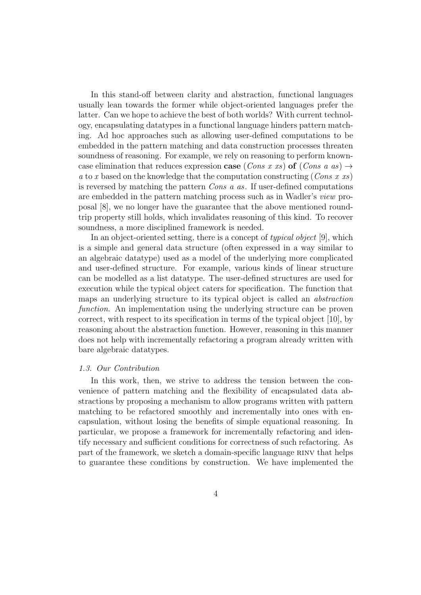In this stand-off between clarity and abstraction, functional languages usually lean towards the former while object-oriented languages prefer the latter. Can we hope to achieve the best of both worlds? With current technology, encapsulating datatypes in a functional language hinders pattern matching. Ad hoc approaches such as allowing user-defined computations to be embedded in the pattern matching and data construction processes threaten soundness of reasoning. For example, we rely on reasoning to perform knowncase elimination that reduces expression **case** (*Cons x xs*) **of** (*Cons a as*)  $\rightarrow$ *a* to *x* based on the knowledge that the computation constructing (*Cons x xs*) is reversed by matching the pattern *Cons a as*. If user-defined computations are embedded in the pattern matching process such as in Wadler's *view* proposal [8], we no longer have the guarantee that the above mentioned roundtrip property still holds, which invalidates reasoning of this kind. To recover soundness, a more disciplined framework is needed.

In an object-oriented setting, there is a concept of *typical object* [9], which is a simple and general data structure (often expressed in a way similar to an algebraic datatype) used as a model of the underlying more complicated and user-defined structure. For example, various kinds of linear structure can be modelled as a list datatype. The user-defined structures are used for execution while the typical object caters for specification. The function that maps an underlying structure to its typical object is called an *abstraction function*. An implementation using the underlying structure can be proven correct, with respect to its specification in terms of the typical object [10], by reasoning about the abstraction function. However, reasoning in this manner does not help with incrementally refactoring a program already written with bare algebraic datatypes.

#### *1.3. Our Contribution*

In this work, then, we strive to address the tension between the convenience of pattern matching and the flexibility of encapsulated data abstractions by proposing a mechanism to allow programs written with pattern matching to be refactored smoothly and incrementally into ones with encapsulation, without losing the benefits of simple equational reasoning. In particular, we propose a framework for incrementally refactoring and identify necessary and sufficient conditions for correctness of such refactoring. As part of the framework, we sketch a domain-specific language RINV that helps to guarantee these conditions by construction. We have implemented the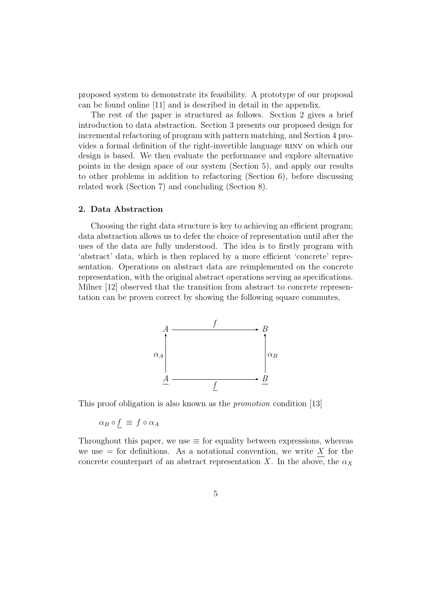proposed system to demonstrate its feasibility. A prototype of our proposal can be found online [11] and is described in detail in the appendix.

The rest of the paper is structured as follows. Section 2 gives a brief introduction to data abstraction. Section 3 presents our proposed design for incremental refactoring of program with pattern matching, and Section 4 provides a formal definition of the right-invertible language rinv on which our design is based. We then evaluate the performance and explore alternative points in the design space of our system (Section 5), and apply our results to other problems in addition to refactoring (Section 6), before discussing related work (Section 7) and concluding (Section 8).

### **2. Data Abstraction**

Choosing the right data structure is key to achieving an efficient program; data abstraction allows us to defer the choice of representation until after the uses of the data are fully understood. The idea is to firstly program with 'abstract' data, which is then replaced by a more efficient 'concrete' representation. Operations on abstract data are reimplemented on the concrete representation, with the original abstract operations serving as specifications. Milner [12] observed that the transition from abstract to concrete representation can be proven correct by showing the following square commutes,



This proof obligation is also known as the *promotion* condition [13]

$$
\alpha_B \circ f \,\equiv\, f \circ \alpha_A
$$

Throughout this paper, we use *≡* for equality between expressions, whereas we use  $=$  for definitions. As a notational convention, we write  $X$  for the concrete counterpart of an abstract representation *X*. In the above, the  $\alpha_X$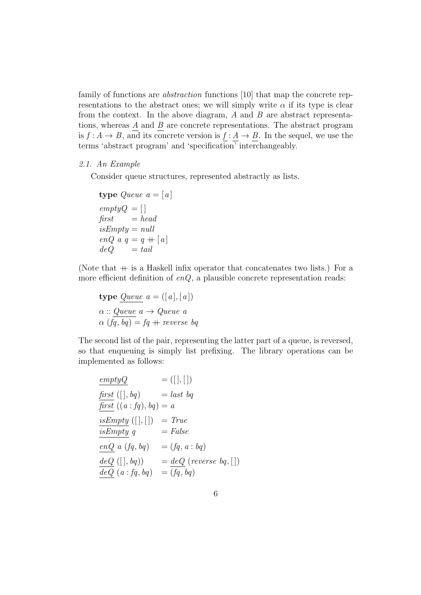family of functions are *abstraction* functions [10] that map the concrete representations to the abstract ones; we will simply write  $\alpha$  if its type is clear from the context. In the above diagram, *A* and *B* are abstract representations, whereas  $\underline{A}$  and  $\underline{B}$  are concrete representations. The abstract program is  $f: A \to B$ , and its concrete version is  $f: A \to B$ . In the sequel, we use the terms 'abstract program' and 'specification' interchangeably.

## *2.1. An Example*

Consider queue structures, represented abstractly as lists.

**type** *Queue*  $a = [a]$  $emptyQ = []$  $\text{first} = \text{head}$ *isEmpty* = *null enQ*  $a q = q + [a]$  $deQ = tail$ 

(Note that  $+$  is a Haskell infix operator that concatenates two lists.) For a more efficient definition of *enQ*, a plausible concrete representation reads:

**type** Queue 
$$
a = ([a], [a])
$$
  
 $\alpha :: Queue a \rightarrow Queue a$   
 $\alpha (fq, bq) = fq + reverse bq$ 

The second list of the pair, representing the latter part of a queue, is reversed, so that enqueuing is simply list prefixing. The library operations can be implemented as follows:

$$
\begin{array}{ll}\n\text{empty }Q & = ([], []) \\
\frac{\text{first }}{ \text{first }} ([], \, bq) & = \text{last } bq \\
\frac{\text{first }}{ \text{first }} ((a : fq), \, bq) = a \\
\frac{\text{isEmpty }}{ \text{isEmpty }} q & = \text{False} \\
\frac{\text{en }Q}{ \text{en }Q \, a} \ (fq, \, bq) & = (fq, a : bq) \\
\frac{\text{de }Q}{ \text{de }Q} \ ([], \, bq) & = \text{de }Q \ (reverse \, bq, []) \\
\frac{\text{de }Q}{ \text{de }Q} \ (a : fq, bq) & = \overline{(fq, bq)}\n\end{array}
$$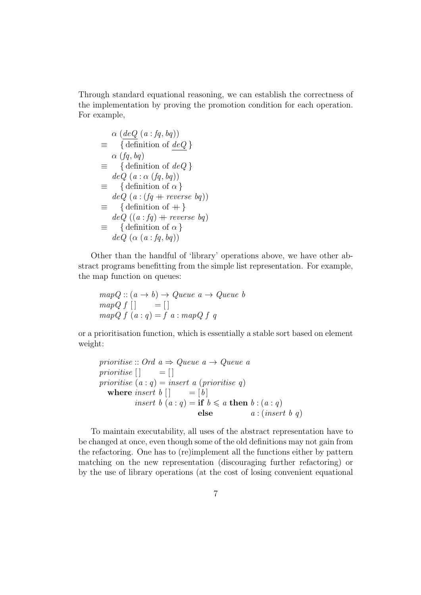Through standard equational reasoning, we can establish the correctness of the implementation by proving the promotion condition for each operation. For example,

$$
\begin{aligned}\n&\alpha \left(\frac{deQ}{d}\left(a : fq, bq\right)\right) \\
&\equiv \quad \{ \text{definition of } \underline{deQ} \} \\
&\alpha \left(fq, bq\right) \\
&\equiv \quad \{ \text{definition of } \underline{deQ} \} \\
\underline{deQ}\left(a : \alpha \left(fq, bq\right)\right) \\
&\equiv \quad \{ \text{definition of } \alpha \} \\
\underline{deQ}\left(a : \left(fq + \text{reverse } bq\right)\right) \\
&\equiv \quad \{ \text{definition of } + \} \\
\underline{deQ}\left((a : fq) + \text{reverse } bq\right) \\
&\equiv \quad \{ \text{definition of } \alpha \} \\
\underline{deQ}\left(\alpha \left(a : fq, bq\right)\right)\n\end{aligned}
$$

Other than the handful of 'library' operations above, we have other abstract programs benefitting from the simple list representation. For example, the map function on queues:

$$
mapQ :: (a \rightarrow b) \rightarrow Queue \ a \rightarrow Queue \ b
$$
  

$$
mapQ f [] = []
$$
  

$$
mapQ f (a : q) = f a : mapQ f q
$$

or a prioritisation function, which is essentially a stable sort based on element weight:

```
\n
$$
\text{priorities::} \text{Ord } a \Rightarrow \text{Queue } a \rightarrow \text{Queue } a \text{ \n $\text{priorities} \text{[]} = []$ \n\n $\text{priorities} \text{ (a : q)} = \text{insert } a \text{ (priorities } q) \text{ \nwhere insert } b [] = [b] \text{ \n $\text{insert } b \text{ (a : q)} = \text{if } b \leq a \text{ then } b : (a : q) \text{ \nelse } a : (\text{insert } b \text{ q})$ \n$
$$

```

To maintain executability, all uses of the abstract representation have to be changed at once, even though some of the old definitions may not gain from the refactoring. One has to (re)implement all the functions either by pattern matching on the new representation (discouraging further refactoring) or by the use of library operations (at the cost of losing convenient equational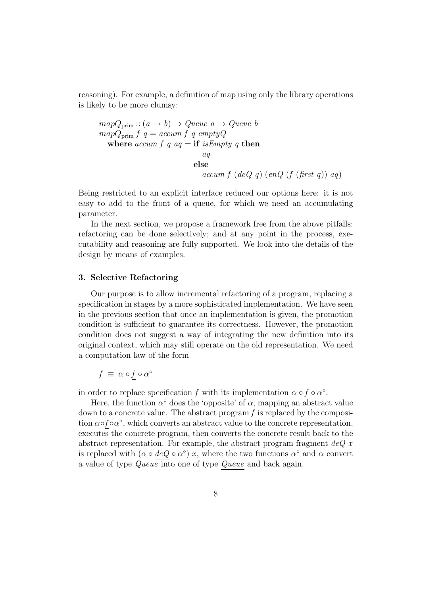reasoning). For example, a definition of map using only the library operations is likely to be more clumsy:

$$
mapQ_{\text{prim}} :: (a \to b) \to Queue \ a \to Queue \ b
$$
  
\n
$$
mapQ_{\text{prim}} f q = \text{accum} f q \text{ empty} Q
$$
  
\nwhere  $accum f q aq = \text{if} isEmpty q \text{ then}$   
\n
$$
aq
$$
  
\nelse  
\n
$$
accum f (deQ q) (enQ (f (first q)) aq)
$$

Being restricted to an explicit interface reduced our options here: it is not easy to add to the front of a queue, for which we need an accumulating parameter.

In the next section, we propose a framework free from the above pitfalls: refactoring can be done selectively; and at any point in the process, executability and reasoning are fully supported. We look into the details of the design by means of examples.

## **3. Selective Refactoring**

Our purpose is to allow incremental refactoring of a program, replacing a specification in stages by a more sophisticated implementation. We have seen in the previous section that once an implementation is given, the promotion condition is sufficient to guarantee its correctness. However, the promotion condition does not suggest a way of integrating the new definition into its original context, which may still operate on the old representation. We need a computation law of the form

$$
f \equiv \alpha \circ f \circ \alpha^{\circ}
$$

in order to replace specification *f* with its implementation  $\alpha \circ f \circ \alpha^{\circ}$ .

Here, the function  $\alpha^{\circ}$  does the 'opposite' of  $\alpha$ , mapping an abstract value down to a concrete value. The abstract program *f* is replaced by the composition  $\alpha \circ f \circ \alpha^{\circ}$ , which converts an abstract value to the concrete representation, executes the concrete program, then converts the concrete result back to the abstract representation. For example, the abstract program fragment *deQ x* is replaced with  $(\alpha \circ deQ \circ \alpha^{\circ}) x$ , where the two functions  $\alpha^{\circ}$  and  $\alpha$  convert a value of type *Queue* into one of type *Queue* and back again.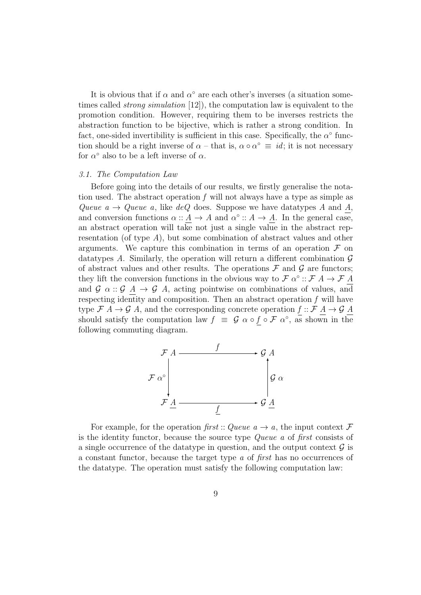It is obvious that if  $\alpha$  and  $\alpha^{\circ}$  are each other's inverses (a situation sometimes called *strong simulation* [12]), the computation law is equivalent to the promotion condition. However, requiring them to be inverses restricts the abstraction function to be bijective, which is rather a strong condition. In fact, one-sided invertibility is sufficient in this case. Specifically, the  $\alpha^{\circ}$  function should be a right inverse of  $\alpha$  – that is,  $\alpha \circ \alpha^{\circ} \equiv id$ ; it is not necessary for  $\alpha^{\circ}$  also to be a left inverse of  $\alpha$ .

## *3.1. The Computation Law*

Before going into the details of our results, we firstly generalise the notation used. The abstract operation *f* will not always have a type as simple as *Queue a*  $\rightarrow$  *Queue a*, like *deQ* does. Suppose we have datatypes *A* and *A*, and conversion functions  $\alpha$  ::  $A \to A$  and  $\alpha^{\circ}$  ::  $A \to A$ . In the general case, an abstract operation will take not just a single value in the abstract representation (of type *A*), but some combination of abstract values and other arguments. We capture this combination in terms of an operation  $\mathcal F$  on datatypes A. Similarly, the operation will return a different combination  $\mathcal G$ of abstract values and other results. The operations  $\mathcal F$  and  $\mathcal G$  are functors; they lift the conversion functions in the obvious way to  $\mathcal{F} \alpha^{\circ} :: \mathcal{F} A \rightarrow \mathcal{F} A$ and  $\mathcal{G} \alpha :: \mathcal{G} \land \rightarrow \mathcal{G} \land A$ , acting pointwise on combinations of values, and respecting identity and composition. Then an abstract operation *f* will have type  $\mathcal{F} A \rightarrow \mathcal{G} A$ , and the corresponding concrete operation  $f : \mathcal{F} A \rightarrow \mathcal{G} A$ should satisfy the computation law  $f \equiv \mathcal{G} \alpha \circ f \circ \mathcal{F} \alpha^{\circ}$ , as shown in the following commuting diagram.



For example, for the operation *first* :: *Queue a*  $\rightarrow$  *a*, the input context *F* is the identity functor, because the source type *Queue a* of *first* consists of a single occurrence of the datatype in question, and the output context  $\mathcal G$  is a constant functor, because the target type *a* of *first* has no occurrences of the datatype. The operation must satisfy the following computation law: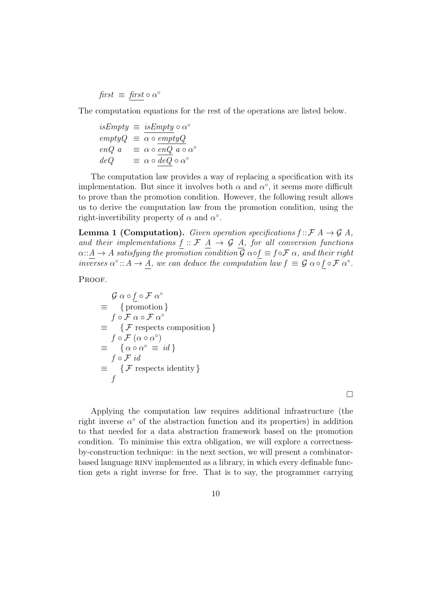$f \text{if} \text{f} \text{if} \text{f} \text{if} \text{f} \text{if} \text{f} \text{if} \text{f} \text{if} \text{f} \text{if} \text{f} \text{if} \text{f} \text{if} \text{f} \text{if} \text{f} \text{if} \text{f} \text{if} \text{f} \text{if} \text{f} \text{if} \text{f} \text{if} \text{f} \text{if} \text{f} \text{if} \text{f} \text{if} \text{f} \text{if} \text{f} \text{if} \text{f} \text{if} \text{f} \text{if} \text{f$ 

The computation equations for the rest of the operations are listed below.

$$
isEmpty \equiv \underline{isEmpty} \circ \alpha^{\circ}
$$
  
\n
$$
emptyQ \equiv \alpha \circ \underline{emptyQ}
$$
  
\n
$$
enQ \ a \equiv \alpha \circ \underline{enQ} \ a \circ \alpha^{\circ}
$$
  
\n
$$
deQ \equiv \alpha \circ \overline{deQ} \circ \alpha^{\circ}
$$

The computation law provides a way of replacing a specification with its implementation. But since it involves both  $\alpha$  and  $\alpha^{\circ}$ , it seems more difficult to prove than the promotion condition. However, the following result allows us to derive the computation law from the promotion condition, using the right-invertibility property of  $\alpha$  and  $\alpha^{\circ}$ .

**Lemma 1 (Computation).** *Given operation specifications*  $f: F: A \rightarrow \mathcal{G}$  *A, and their implementations*  $f: F \rightarrow G \rightarrow G$ , for all conversion functions  $\alpha: A \to A$  satisfying the promotion condition  $\overline{G}$   $\alpha \circ f \equiv f \circ F$   $\alpha$ , and their right *inverses*  $\alpha^{\circ}$  ::  $A \rightarrow A$ , we can deduce the computation law  $f \equiv \mathcal{G} \alpha \circ f \circ \mathcal{F} \alpha^{\circ}$ .

PROOF.

$$
\mathcal{G} \alpha \circ \underline{f} \circ \mathcal{F} \alpha^{\circ}
$$
\n
$$
\equiv \{ \text{promotion} \}
$$
\n
$$
f \circ \mathcal{F} \alpha \circ \mathcal{F} \alpha^{\circ}
$$
\n
$$
\equiv \{ \mathcal{F} \text{ respects composition} \}
$$
\n
$$
f \circ \mathcal{F} (\alpha \circ \alpha^{\circ})
$$
\n
$$
\equiv \{ \alpha \circ \alpha^{\circ} \equiv id \}
$$
\n
$$
f \circ \mathcal{F} id
$$
\n
$$
\equiv \{ \mathcal{F} \text{ respects identity} \}
$$

 $\Box$ 

Applying the computation law requires additional infrastructure (the right inverse  $\alpha^{\circ}$  of the abstraction function and its properties) in addition to that needed for a data abstraction framework based on the promotion condition. To minimise this extra obligation, we will explore a correctnessby-construction technique: in the next section, we will present a combinatorbased language rinv implemented as a library, in which every definable function gets a right inverse for free. That is to say, the programmer carrying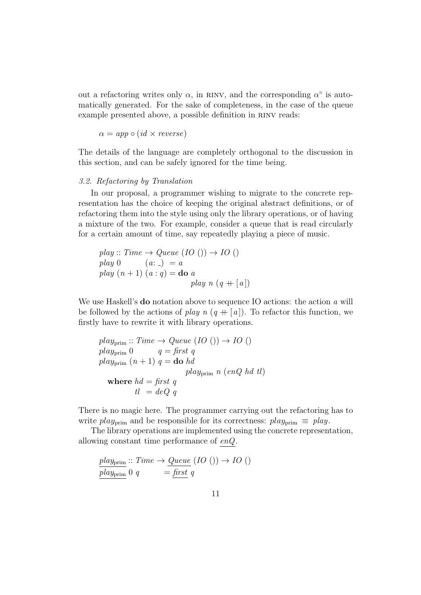out a refactoring writes only  $\alpha$ , in RINV, and the corresponding  $\alpha^{\circ}$  is automatically generated. For the sake of completeness, in the case of the queue example presented above, a possible definition in RINV reads:

 $\alpha = app \circ (id \times reverse)$ 

The details of the language are completely orthogonal to the discussion in this section, and can be safely ignored for the time being.

## *3.2. Refactoring by Translation*

In our proposal, a programmer wishing to migrate to the concrete representation has the choice of keeping the original abstract definitions, or of refactoring them into the style using only the library operations, or of having a mixture of the two. For example, consider a queue that is read circularly for a certain amount of time, say repeatedly playing a piece of music.

$$
play :: Time \rightarrow Queue (IO()) \rightarrow IO()
$$
  
play 0 (a: .) = a  
play (n + 1) (a: q) = **do** a  
play n (q + [a])

We use Haskell's **do** notation above to sequence IO actions: the action *a* will be followed by the actions of *play n*  $(q + |a|)$ . To refactor this function, we firstly have to rewrite it with library operations.

$$
play_{\text{prim}} :: Time \rightarrow Queue (IO()) \rightarrow IO()
$$
  
\n
$$
play_{\text{prim}} 0 \qquad q = first \ q
$$
  
\n
$$
play_{\text{prim}} (n+1) \ q = \text{do } hd
$$
  
\n
$$
play_{\text{prim}} n \ (enQ \ hd \ tl)
$$
  
\nwhere  $hd = first \ q$   
\n
$$
tl = deQ \ q
$$

There is no magic here. The programmer carrying out the refactoring has to write  $play_{\text{prim}}$  and be responsible for its correctness:  $play_{\text{prim}} \equiv play$ .

The library operations are implemented using the concrete representation, allowing constant time performance of *enQ*.

$$
\frac{play_{\text{prim}}:Time \rightarrow Queue}{play_{\text{prim}} \ 0 \ q} \ (IO \ ()) \rightarrow IO \ ()
$$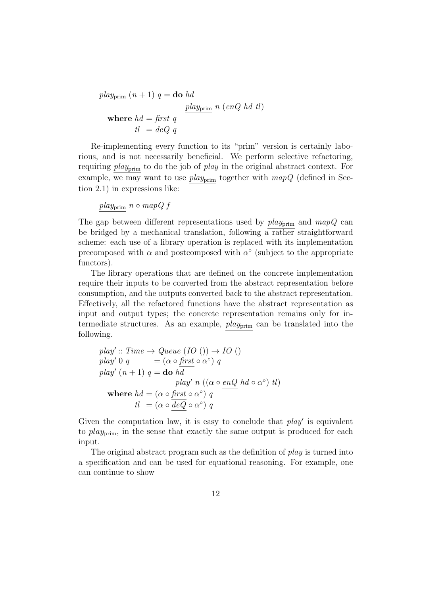$$
\frac{play_{\text{prim}}(n+1) \ q = \text{do } hd}{\text{where } hd = \frac{first}{d} \ q} \frac{play_{\text{prim}} \ n \ (enQ \ hd \ tl)}{tl = \frac{deQ}{d} \ q}
$$

Re-implementing every function to its "prim" version is certainly laborious, and is not necessarily beneficial. We perform selective refactoring, requiring *play*<sub>prim</sub> to do the job of *play* in the original abstract context. For example, we may want to use  $play_{\text{prim}}$  together with  $mapQ$  (defined in Section 2.1) in expressions like:

 $play_{\text{prim}}$  *n*  $\circ$  *mapQ f* 

The gap between different representations used by  $play_{\text{prim}}$  and  $mapQ$  can be bridged by a mechanical translation, following a rather straightforward scheme: each use of a library operation is replaced with its implementation precomposed with  $\alpha$  and postcomposed with  $\alpha^{\circ}$  (subject to the appropriate functors).

The library operations that are defined on the concrete implementation require their inputs to be converted from the abstract representation before consumption, and the outputs converted back to the abstract representation. Effectively, all the refactored functions have the abstract representation as input and output types; the concrete representation remains only for intermediate structures. As an example, *play*<sub>prim</sub> can be translated into the following.

$$
play': Time \rightarrow Queue (IO()) \rightarrow IO()
$$
  
\n
$$
play' 0 q = (\alpha \circ first \circ \alpha^{\circ}) q
$$
  
\n
$$
play' (n + 1) q = \textbf{do } hd
$$
  
\n
$$
play' n ((\alpha \circ enQ hd \circ \alpha^{\circ}) tl)
$$
  
\nwhere  $hd = (\alpha \circ first \circ \alpha^{\circ}) q$   
\n
$$
tl = (\alpha \circ \textbf{deQ} \circ \alpha^{\circ}) q
$$

Given the computation law, it is easy to conclude that *play′* is equivalent to *play*<sub>prim</sub>, in the sense that exactly the same output is produced for each input.

The original abstract program such as the definition of *play* is turned into a specification and can be used for equational reasoning. For example, one can continue to show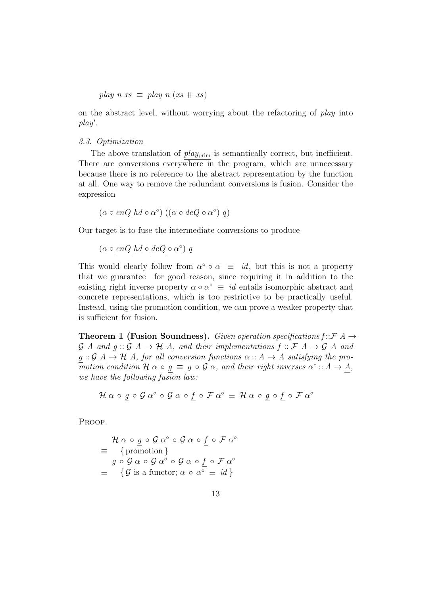$$
play\; n\; xs \; \equiv \; play\; n \; (xs \; + \; xs)
$$

on the abstract level, without worrying about the refactoring of *play* into *play′* .

#### *3.3. Optimization*

The above translation of *play*<sub>prim</sub> is semantically correct, but inefficient. There are conversions everywhere in the program, which are unnecessary because there is no reference to the abstract representation by the function at all. One way to remove the redundant conversions is fusion. Consider the expression

$$
(\alpha \circ enQ \; hd \circ \alpha^{\circ}) \; ((\alpha \circ deQ \circ \alpha^{\circ}) \; q)
$$

Our target is to fuse the intermediate conversions to produce

 $(\alpha \circ enQ \ hd \circ deQ \circ \alpha^{\circ}) \ q$ 

This would clearly follow from  $\alpha^{\circ} \circ \alpha \equiv id$ , but this is not a property that we guarantee—for good reason, since requiring it in addition to the existing right inverse property  $\alpha \circ \alpha^{\circ} \equiv id$  entails isomorphic abstract and concrete representations, which is too restrictive to be practically useful. Instead, using the promotion condition, we can prove a weaker property that is sufficient for fusion.

**Theorem 1 (Fusion Soundness).** *Given operation specifications f* ::*F A →*  $G \nvert A$  and  $g :: G \nvert A \rightarrow H \nvert A$ , and their implementations  $f :: \mathcal{F} \nvert A \rightarrow \mathcal{G} \nvert A$  and  $g: G \rightarrow \mathcal{H}$  *A, for all conversion functions*  $\alpha: A \rightarrow \overline{A}$  satisfying the pro*motion condition*  $\mathcal{H} \alpha \circ g \equiv g \circ \mathcal{G} \alpha$ , and their right inverses  $\alpha^{\circ} :: A \rightarrow A$ , *we have the following fusion law:*

$$
\mathcal{H} \alpha \circ \underline{g} \circ \mathcal{G} \alpha^{\circ} \circ \mathcal{G} \alpha \circ \underline{f} \circ \mathcal{F} \alpha^{\circ} \equiv \mathcal{H} \alpha \circ \underline{g} \circ \underline{f} \circ \mathcal{F} \alpha^{\circ}
$$

PROOF.

$$
\mathcal{H} \alpha \circ \underline{g} \circ \mathcal{G} \alpha^{\circ} \circ \mathcal{G} \alpha \circ \underline{f} \circ \mathcal{F} \alpha^{\circ}
$$
\n
$$
\equiv \{ \text{promotion} \}
$$
\n
$$
g \circ \mathcal{G} \alpha \circ \mathcal{G} \alpha^{\circ} \circ \mathcal{G} \alpha \circ \underline{f} \circ \mathcal{F} \alpha^{\circ}
$$
\n
$$
\equiv \{ \mathcal{G} \text{ is a functor}; \alpha \circ \alpha^{\circ} \equiv id \}
$$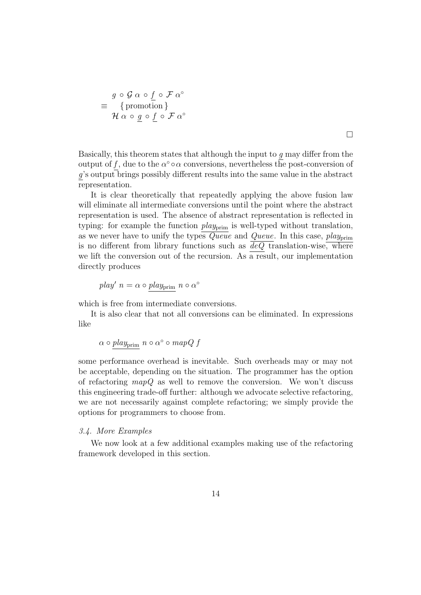$$
g \circ g \alpha \circ f \circ \mathcal{F} \alpha^{\circ}
$$
  

$$
\equiv \{ \text{promotion} \}
$$
  

$$
\mathcal{H} \alpha \circ g \circ f \circ \mathcal{F} \alpha^{\circ}
$$

 $\Box$ 

Basically, this theorem states that although the input to *g* may differ from the output of *f*, due to the  $\alpha^{\circ} \circ \alpha$  conversions, nevertheless the post-conversion of *g*'s output brings possibly different results into the same value in the abstract representation.

It is clear theoretically that repeatedly applying the above fusion law will eliminate all intermediate conversions until the point where the abstract representation is used. The absence of abstract representation is reflected in typing: for example the function *play*<sub>prim</sub> is well-typed without translation, as we never have to unify the types *Queue* and *Queue*. In this case, *play*<sub>prim</sub> is no different from library functions such as *deQ* translation-wise, where we lift the conversion out of the recursion. As a result, our implementation directly produces

$$
play' n = \alpha \circ play_{\text{prim}} n \circ \alpha^{\circ}
$$

which is free from intermediate conversions.

It is also clear that not all conversions can be eliminated. In expressions like

$$
\alpha \circ \text{play}_{\text{prim}} \text{ } n \circ \alpha^{\circ} \circ \text{map} Q \text{ } f
$$

some performance overhead is inevitable. Such overheads may or may not be acceptable, depending on the situation. The programmer has the option of refactoring *mapQ* as well to remove the conversion. We won't discuss this engineering trade-off further: although we advocate selective refactoring, we are not necessarily against complete refactoring; we simply provide the options for programmers to choose from.

## *3.4. More Examples*

We now look at a few additional examples making use of the refactoring framework developed in this section.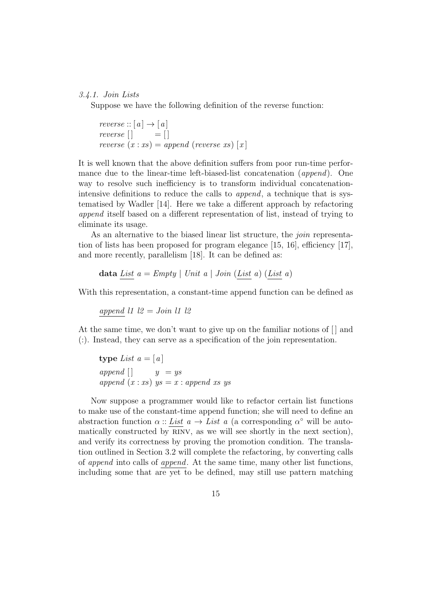#### *3.4.1. Join Lists*

Suppose we have the following definition of the reverse function:

```
reverse :: [a] \rightarrow [a]reverse \begin{bmatrix} \end{bmatrix} = \begin{bmatrix} \end{bmatrix}reverse (x : xs) = append (reverse xs) [x]
```
It is well known that the above definition suffers from poor run-time performance due to the linear-time left-biased-list concatenation (*append*). One way to resolve such inefficiency is to transform individual concatenationintensive definitions to reduce the calls to *append*, a technique that is systematised by Wadler [14]. Here we take a different approach by refactoring *append* itself based on a different representation of list, instead of trying to eliminate its usage.

As an alternative to the biased linear list structure, the *join* representation of lists has been proposed for program elegance [15, 16], efficiency [17], and more recently, parallelism [18]. It can be defined as:

**data** *List*  $a = Empty \mid Unit \ a \mid Join (List \ a) (List \ a)$ 

With this representation, a constant-time append function can be defined as

*append l1 l2* = *Join l1 l2*

At the same time, we don't want to give up on the familiar notions of  $\Box$  and (:). Instead, they can serve as a specification of the join representation.

```
type List a = [a]append \begin{bmatrix} \cdot & y \end{bmatrix} = ysappend (x : xs) ys = x : append xs ys
```
Now suppose a programmer would like to refactor certain list functions to make use of the constant-time append function; she will need to define an abstraction function  $\alpha$  :: *List*  $a \rightarrow$  *List*  $a$  (a corresponding  $\alpha^{\circ}$  will be automatically constructed by  $\overline{R}$  RINV, as we will see shortly in the next section), and verify its correctness by proving the promotion condition. The translation outlined in Section 3.2 will complete the refactoring, by converting calls of *append* into calls of *append*. At the same time, many other list functions, including some that are yet to be defined, may still use pattern matching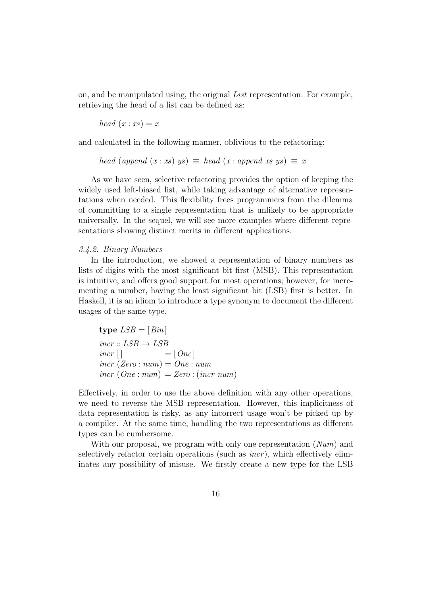on, and be manipulated using, the original *List* representation. For example, retrieving the head of a list can be defined as:

 $head(x:xs) = x$ 

and calculated in the following manner, oblivious to the refactoring:

$$
head\ (append\ (x:xs)\ ys) \equiv head\ (x:append\ xs\ ys) \equiv x
$$

As we have seen, selective refactoring provides the option of keeping the widely used left-biased list, while taking advantage of alternative representations when needed. This flexibility frees programmers from the dilemma of committing to a single representation that is unlikely to be appropriate universally. In the sequel, we will see more examples where different representations showing distinct merits in different applications.

#### *3.4.2. Binary Numbers*

In the introduction, we showed a representation of binary numbers as lists of digits with the most significant bit first (MSB). This representation is intuitive, and offers good support for most operations; however, for incrementing a number, having the least significant bit (LSB) first is better. In Haskell, it is an idiom to introduce a type synonym to document the different usages of the same type.

$$
\begin{aligned} \textbf{type } LSB &= [Bin] \\ \textit{incr} :: LSB &\rightarrow LSB \\ \textit{incr } [] &= [One] \\ \textit{incr } (Zero : num) &= One : num \\ \textit{incr } (One : num) &= Zero : (incr num) \end{aligned}
$$

Effectively, in order to use the above definition with any other operations, we need to reverse the MSB representation. However, this implicitness of data representation is risky, as any incorrect usage won't be picked up by a compiler. At the same time, handling the two representations as different types can be cumbersome.

With our proposal, we program with only one representation (*Num*) and selectively refactor certain operations (such as *incr* ), which effectively eliminates any possibility of misuse. We firstly create a new type for the LSB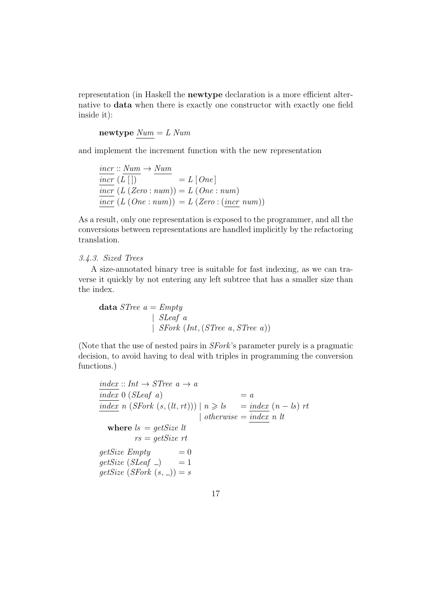representation (in Haskell the **newtype** declaration is a more efficient alternative to **data** when there is exactly one constructor with exactly one field inside it):

**newtype** *Num* = *L Num*

and implement the increment function with the new representation

$$
\frac{incr::Num \rightarrow Num}{\underline{incr}} (L [] ) = L [One]
$$
\n
$$
\frac{incr}{incr} (L (Zero: num)) = L (One: num)
$$
\n
$$
\underline{incr} (L (One: num)) = L (Zero: (incr num))
$$

As a result, only one representation is exposed to the programmer, and all the conversions between representations are handled implicitly by the refactoring translation.

## *3.4.3. Sized Trees*

A size-annotated binary tree is suitable for fast indexing, as we can traverse it quickly by not entering any left subtree that has a smaller size than the index.

$$
\begin{array}{ll}\n\textbf{data }STree \ a = Empty \\
 & | \ \ \textit{SLeaf} \ a \\
 & | \ \ \textit{SFork} \ (Int, (STree \ a, STree \ a))\n\end{array}
$$

(Note that the use of nested pairs in *SFork*'s parameter purely is a pragmatic decision, to avoid having to deal with triples in programming the conversion functions.)

 $index :: Int \rightarrow STree \space a \rightarrow a$  $index\ 0(SLeaf\ a)$  = *a*  $index \space n \ (SFork \ (s, (lt, rt))) \mid n \geqslant ls \ = index \ (n - ls) \ rt$ *| otherwise* = *index n lt* **where**  $ls = qetSize$  *lt rs* = *getSize rt*  $q$ *etSize Empty*  $= 0$  $q$ *etSize* (*SLeaf* ) = 1  $getSize(SFork(s, \_)) = s$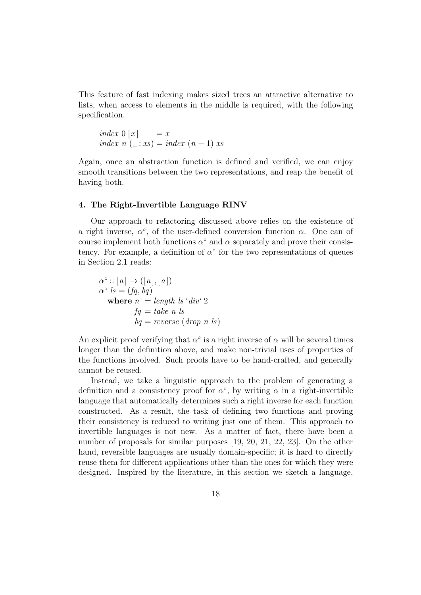This feature of fast indexing makes sized trees an attractive alternative to lists, when access to elements in the middle is required, with the following specification.

$$
index \space 0 \space [x] \quad = x
$$
  

$$
index \space n \space (-:xs) = index \space (n-1) \space xs
$$

Again, once an abstraction function is defined and verified, we can enjoy smooth transitions between the two representations, and reap the benefit of having both.

## **4. The Right-Invertible Language RINV**

Our approach to refactoring discussed above relies on the existence of a right inverse,  $\alpha^{\circ}$ , of the user-defined conversion function  $\alpha$ . One can of course implement both functions  $\alpha^{\circ}$  and  $\alpha$  separately and prove their consistency. For example, a definition of  $\alpha^{\circ}$  for the two representations of queues in Section 2.1 reads:

$$
\alpha^{\circ} :: [a] \rightarrow ([a], [a])
$$
  
\n
$$
\alpha^{\circ} ls = (fq, bq)
$$
  
\nwhere  $n = length ls' \, div' 2$   
\n
$$
fq = take \, n \, ls
$$
  
\n
$$
bq = reverse \, (drop \, n \, ls)
$$

An explicit proof verifying that  $\alpha^{\circ}$  is a right inverse of  $\alpha$  will be several times longer than the definition above, and make non-trivial uses of properties of the functions involved. Such proofs have to be hand-crafted, and generally cannot be reused.

Instead, we take a linguistic approach to the problem of generating a definition and a consistency proof for  $\alpha^{\circ}$ , by writing  $\alpha$  in a right-invertible language that automatically determines such a right inverse for each function constructed. As a result, the task of defining two functions and proving their consistency is reduced to writing just one of them. This approach to invertible languages is not new. As a matter of fact, there have been a number of proposals for similar purposes [19, 20, 21, 22, 23]. On the other hand, reversible languages are usually domain-specific; it is hard to directly reuse them for different applications other than the ones for which they were designed. Inspired by the literature, in this section we sketch a language,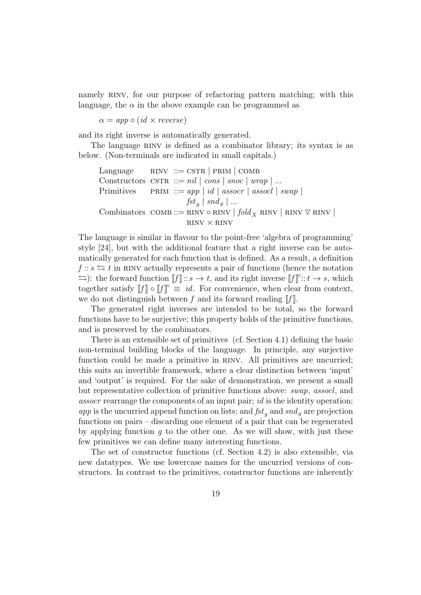namely RINV, for our purpose of refactoring pattern matching; with this language, the  $\alpha$  in the above example can be programmed as

 $\alpha = app \circ (id \times reverse)$ 

and its right inverse is automatically generated.

The language RINV is defined as a combinator library; its syntax is as below. (Non-terminals are indicated in small capitals.)

Language RINV ::= CSTR | PRIM | COMB

\nConstructors CSTR ::= nil | cons | snoc | wrap | ...

\nPrimitives PRIM ::= app | id | assocr | assoc| | swap |

\n
$$
fst_g | snd_g | ...
$$
\nCombinators COMB ::= RINV o RINV | fold\_X RINV | RINV ∇ RINV |

The language is similar in flavour to the point-free 'algebra of programming' style [24], but with the additional feature that a right inverse can be automatically generated for each function that is defined. As a result, a definition  $f: s \leq t$  in RINV actually represents a pair of functions (hence the notation  $\Rightarrow$ ): the forward function  $[[f]]:: s \to t$ , and its right inverse  $[[f]]°:: t \to s$ , which together satisfy  $\llbracket f \rrbracket \circ \llbracket f \rrbracket^{\circ} \equiv id$ . For convenience, when clear from context, we do not distinguish between  $f$  and its forward reading  $\llbracket f \rrbracket$ .

The generated right inverses are intended to be total, so the forward functions have to be surjective; this property holds of the primitive functions, and is preserved by the combinators.

There is an extensible set of primitives (cf. Section 4.1) defining the basic non-terminal building blocks of the language. In principle, any surjective function could be made a primitive in RINV. All primitives are uncurried; this suits an invertible framework, where a clear distinction between 'input' and 'output' is required. For the sake of demonstration, we present a small but representative collection of primitive functions above: *swap*, *assocl*, and *assocr* rearrange the components of an input pair; *id* is the identity operation; *app* is the uncurried append function on lists; and  $fst<sub>q</sub>$  and  $snd<sub>g</sub>$  are projection functions on pairs – discarding one element of a pair that can be regenerated by applying function  $g$  to the other one. As we will show, with just these few primitives we can define many interesting functions.

The set of constructor functions (cf. Section 4.2) is also extensible, via new datatypes. We use lowercase names for the uncurried versions of constructors. In contrast to the primitives, constructor functions are inherently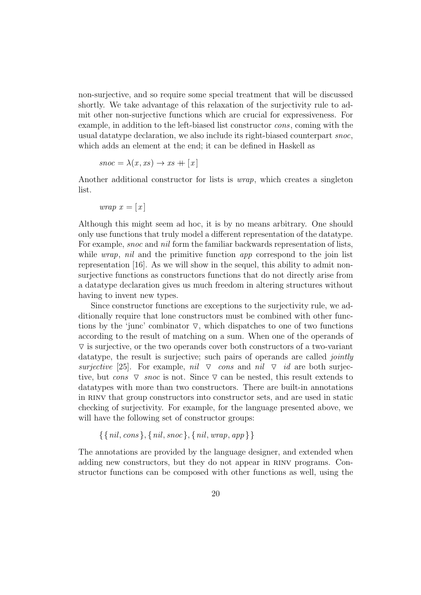non-surjective, and so require some special treatment that will be discussed shortly. We take advantage of this relaxation of the surjectivity rule to admit other non-surjective functions which are crucial for expressiveness. For example, in addition to the left-biased list constructor *cons*, coming with the usual datatype declaration, we also include its right-biased counterpart *snoc*, which adds an element at the end; it can be defined in Haskell as

$$
snoc = \lambda(x, xs) \rightarrow xs + [x]
$$

Another additional constructor for lists is *wrap*, which creates a singleton list.

$$
wrap \ x = [x]
$$

Although this might seem ad hoc, it is by no means arbitrary. One should only use functions that truly model a different representation of the datatype. For example, *snoc* and *nil* form the familiar backwards representation of lists, while *wrap*, *nil* and the primitive function *app* correspond to the join list representation [16]. As we will show in the sequel, this ability to admit nonsurjective functions as constructors functions that do not directly arise from a datatype declaration gives us much freedom in altering structures without having to invent new types.

Since constructor functions are exceptions to the surjectivity rule, we additionally require that lone constructors must be combined with other functions by the 'junc' combinator  $\nabla$ , which dispatches to one of two functions according to the result of matching on a sum. When one of the operands of  $\nabla$  is surjective, or the two operands cover both constructors of a two-variant datatype, the result is surjective; such pairs of operands are called *jointly surjective* [25]. For example, *nil*  $\nabla$  *cons* and *nil*  $\nabla$  *id* are both surjective, but *cons*  $\triangledown$  *snoc* is not. Since  $\triangledown$  can be nested, this result extends to datatypes with more than two constructors. There are built-in annotations in RINV that group constructors into constructor sets, and are used in static checking of surjectivity. For example, for the language presented above, we will have the following set of constructor groups:

$$
\{\{ \, nil, cons \}, \{ \, nil, snoc \}, \{ \, nil, wrap, app \} \}
$$

The annotations are provided by the language designer, and extended when adding new constructors, but they do not appear in rinv programs. Constructor functions can be composed with other functions as well, using the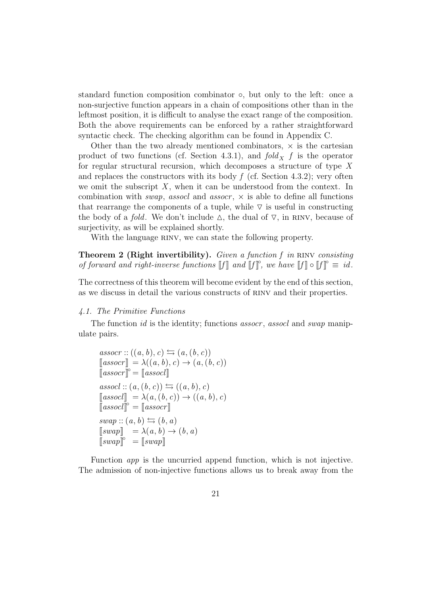standard function composition combinator *◦*, but only to the left: once a non-surjective function appears in a chain of compositions other than in the leftmost position, it is difficult to analyse the exact range of the composition. Both the above requirements can be enforced by a rather straightforward syntactic check. The checking algorithm can be found in Appendix C.

Other than the two already mentioned combinators,  $\times$  is the cartesian product of two functions (cf. Section 4.3.1), and  $fold<sub>X</sub> f$  is the operator for regular structural recursion, which decomposes a structure of type *X* and replaces the constructors with its body  $f$  (cf. Section 4.3.2); very often we omit the subscript  $X$ , when it can be understood from the context. In combination with *swap*, *assocl* and *assocr* , *×* is able to define all functions that rearrange the components of a tuple, while  $\nabla$  is useful in constructing the body of a *fold*. We don't include  $\Delta$ , the dual of  $\nabla$ , in RINV, because of surjectivity, as will be explained shortly.

With the language RINV, we can state the following property.

**Theorem 2 (Right invertibility).** *Given a function f in* RINV *consisting of forward and right-inverse functions*  $\llbracket f \rrbracket$  *and*  $\llbracket f \rrbracket^{\circ}$ , we have  $\llbracket f \rrbracket^{\circ} \in \llbracket f \rrbracket^{\circ} \equiv id$ .

The correctness of this theorem will become evident by the end of this section, as we discuss in detail the various constructs of rinv and their properties.

### *4.1. The Primitive Functions*

The function *id* is the identity; functions *assocr* , *assocl* and *swap* manipulate pairs.

$$
assoc: ((a, b), c) \leftrightarrow (a, (b, c))
$$
  
\n
$$
[assoc] = \lambda((a, b), c) \rightarrow (a, (b, c))
$$
  
\n
$$
[assoc]^\circ = [assoc]^\circ
$$
  
\n
$$
assoc: (a, (b, c)) \leftrightarrow ((a, b), c)
$$
  
\n
$$
[assoc]^\circ = \lambda(a, (b, c)) \rightarrow ((a, b), c)
$$
  
\n
$$
[assoc]^\circ = [assoc]^\circ
$$
  
\n
$$
swap]^\circ = [assoc]^\circ
$$
  
\n
$$
[swap]^\circ = \lambda(a, b) \rightarrow (b, a)
$$
  
\n
$$
[swap]^\circ = [swap]
$$

Function *app* is the uncurried append function, which is not injective. The admission of non-injective functions allows us to break away from the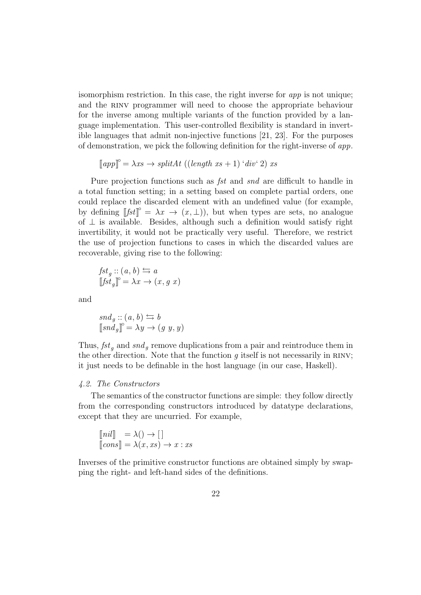isomorphism restriction. In this case, the right inverse for *app* is not unique; and the rinv programmer will need to choose the appropriate behaviour for the inverse among multiple variants of the function provided by a language implementation. This user-controlled flexibility is standard in invertible languages that admit non-injective functions [21, 23]. For the purposes of demonstration, we pick the following definition for the right-inverse of *app*.

$$
[app] \mathbb{P} = \lambda xs \to splitAt \ ((length \ xs + 1) \ 'div 2) \ xs
$$

Pure projection functions such as *fst* and *snd* are difficult to handle in a total function setting; in a setting based on complete partial orders, one could replace the discarded element with an undefined value (for example, by defining  $[[fst]]^\circ = \lambda x \to (x, \perp)$ , but when types are sets, no analogue of *⊥* is available. Besides, although such a definition would satisfy right invertibility, it would not be practically very useful. Therefore, we restrict the use of projection functions to cases in which the discarded values are recoverable, giving rise to the following:

$$
fst_g :: (a, b) \leftrightarrows a
$$
  

$$
[[fst_g]^\circ = \lambda x \to (x, g x)
$$

and

$$
sndg :: (a, b) \leftrightarrows b
$$
  

$$
[sndg]o = \lambda y \rightarrow (g y, y)
$$

Thus,  $fst<sub>g</sub>$  and  $snd<sub>g</sub>$  remove duplications from a pair and reintroduce them in the other direction. Note that the function  $q$  itself is not necessarily in RINV; it just needs to be definable in the host language (in our case, Haskell).

### *4.2. The Constructors*

The semantics of the constructor functions are simple: they follow directly from the corresponding constructors introduced by datatype declarations, except that they are uncurried. For example,

$$
\begin{array}{ll}\n[\![nil]\!] & = \lambda() \to [] \\
[\![cons]\!] = \lambda(x, xs) \to x : xs\n\end{array}
$$

Inverses of the primitive constructor functions are obtained simply by swapping the right- and left-hand sides of the definitions.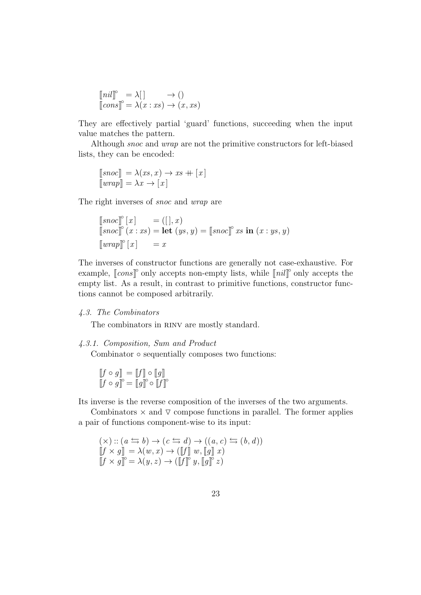$$
\begin{bmatrix} nil \end{bmatrix}^\circ = \lambda \begin{bmatrix} \cdot & \cdot & \cdot \\ \cdot & \cdot & \cdot \\ \cdot & \cdot & \cdot \end{bmatrix} \rightarrow (1)
$$

$$
\begin{bmatrix} \cos \theta \\ \cdot & \cdot & \cdot \end{bmatrix} = \lambda (x : xs) \rightarrow (x, xs)
$$

They are effectively partial 'guard' functions, succeeding when the input value matches the pattern.

Although *snoc* and *wrap* are not the primitive constructors for left-biased lists, they can be encoded:

$$
\begin{aligned} [\text{snoc}] &= \lambda(xs, x) \to xs + [x] \\ [\text{wrap}] &= \lambda x \to [x] \end{aligned}
$$

The right inverses of *snoc* and *wrap* are

$$
\begin{array}{ll}\n[\textit{snoc}^{\mathbb{P}}[x] & = ([], x) \\
[\textit{snoc}^{\mathbb{P}}(x : xs) = \textbf{let}(ys, y) = [\textit{snoc}^{\mathbb{P}} xs \textbf{ in}(x : ys, y) \\
[\textit{wrap}^{\mathbb{P}}[x] & = x\n\end{array}
$$

The inverses of constructor functions are generally not case-exhaustive. For example,  $[[cons]]^{\circ}$  only accepts non-empty lists, while  $[[nil]]^{\circ}$  only accepts the empty list. As a result, in contrast to primitive functions, constructor functions cannot be composed arbitrarily.

## *4.3. The Combinators*

The combinators in RINV are mostly standard.

## *4.3.1. Composition, Sum and Product*

Combinator *◦* sequentially composes two functions:

$$
\begin{bmatrix} f \circ g \end{bmatrix} = \begin{bmatrix} f \end{bmatrix} \circ \begin{bmatrix} g \end{bmatrix}
$$

$$
\begin{bmatrix} f \circ g \end{bmatrix}^{\circ} = \begin{bmatrix} g \end{bmatrix}^{\circ} \circ \begin{bmatrix} f \end{bmatrix}^{\circ}
$$

Its inverse is the reverse composition of the inverses of the two arguments.

Combinators  $\times$  and  $\nabla$  compose functions in parallel. The former applies a pair of functions component-wise to its input:

$$
(\times) :: (a \leftrightarrows b) \rightarrow (c \leftrightarrows d) \rightarrow ((a, c) \leftrightarrows (b, d))
$$
  

$$
[\![f \times g]\!] = \lambda(w, x) \rightarrow ([\![f]\!] \ w, [\![g]\!] \ x)
$$
  

$$
[\![f \times g]\!]^\circ = \lambda(y, z) \rightarrow ([\![f]\!]^\circ \ y, [\![g]\!]^\circ \ z)
$$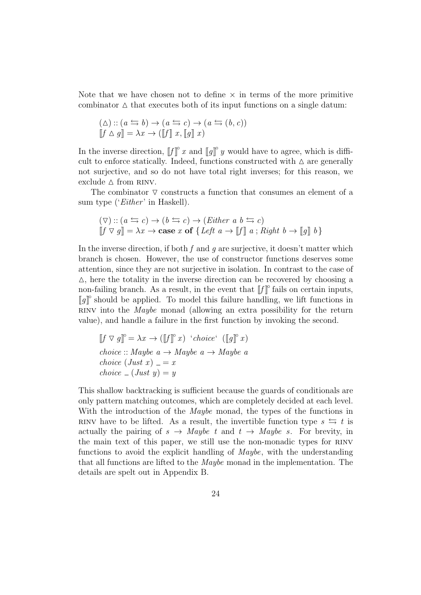Note that we have chosen not to define  $\times$  in terms of the more primitive combinator  $\Delta$  that executes both of its input functions on a single datum:

$$
(\Delta) :: (a \leftrightarrows b) \to (a \leftrightarrows c) \to (a \leftrightarrows (b, c))
$$
  

$$
[\![f \Delta g]\!] = \lambda x \to ([\![f]\!] \ x, [\![g]\!] \ x)
$$

In the inverse direction,  $\llbracket f \rrbracket^{\circ} x$  and  $\llbracket g \rrbracket^{\circ} y$  would have to agree, which is difficult to enforce statically. Indeed, functions constructed with  $\Delta$  are generally not surjective, and so do not have total right inverses; for this reason, we exclude  $\triangle$  from RINV.

The combinator  $\nabla$  constructs a function that consumes an element of a sum type ('*Either*' in Haskell).

$$
(\nabla) :: (a \leftrightarrows c) \rightarrow (b \leftrightarrows c) \rightarrow (Either \ a \ b \leftrightarrows c)
$$
  

$$
[\![f \triangledown g]\!] = \lambda x \rightarrow \text{case } x \text{ of } \{ \text{Left } a \rightarrow [\![f]\!] \ a \; ; \text{Right } b \rightarrow [\![g]\!] \ b \}
$$

In the inverse direction, if both *f* and *g* are surjective, it doesn't matter which branch is chosen. However, the use of constructor functions deserves some attention, since they are not surjective in isolation. In contrast to the case of  $\Delta$ , here the totality in the inverse direction can be recovered by choosing a non-failing branch. As a result, in the event that  $\llbracket f \rrbracket^{\circ}$  fails on certain inputs, [[*g*]]*◦* should be applied. To model this failure handling, we lift functions in rinv into the *Maybe* monad (allowing an extra possibility for the return value), and handle a failure in the first function by invoking the second.

$$
[f \nabla g]^{\circ} = \lambda x \rightarrow ([f]^{\circ} x) \text{ 'choice' } ([g]^{\circ} x)
$$
  
choice :: *Maybe a*  $\rightarrow$  *Maybe a*  $\rightarrow$  *Maybe a*  
choice (*Just x*)  $= x$   
choice  $=$  (*Just y*)  $= y$ 

This shallow backtracking is sufficient because the guards of conditionals are only pattern matching outcomes, which are completely decided at each level. With the introduction of the *Maybe* monad, the types of the functions in RINV have to be lifted. As a result, the invertible function type  $s \leq t$  is actually the pairing of  $s \rightarrow$  *Maybe t* and  $t \rightarrow$  *Maybe s*. For brevity, in the main text of this paper, we still use the non-monadic types for rinv functions to avoid the explicit handling of *Maybe*, with the understanding that all functions are lifted to the *Maybe* monad in the implementation. The details are spelt out in Appendix B.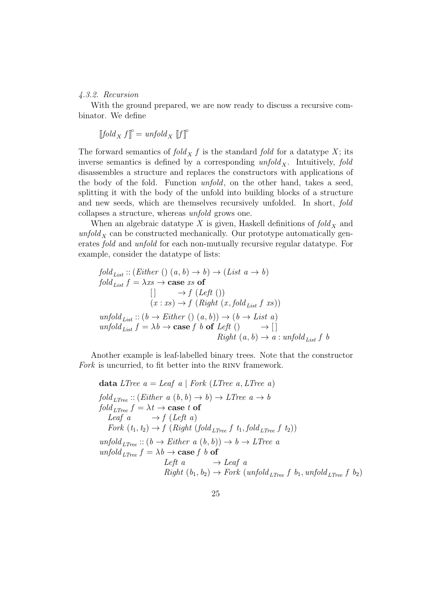#### *4.3.2. Recursion*

With the ground prepared, we are now ready to discuss a recursive combinator. We define

 $[[fold \times f] \circ ] = \text{unfold} \times [f] \circ$ 

The forward semantics of  $fold_X f$  is the standard fold for a datatype  $X$ ; its inverse semantics is defined by a corresponding *unfold <sup>X</sup>*. Intuitively, *fold* disassembles a structure and replaces the constructors with applications of the body of the fold. Function *unfold*, on the other hand, takes a seed, splitting it with the body of the unfold into building blocks of a structure and new seeds, which are themselves recursively unfolded. In short, *fold* collapses a structure, whereas *unfold* grows one.

When an algebraic datatype X is given, Haskell definitions of  $fold<sub>X</sub>$  and  $unfold<sub>X</sub>$  can be constructed mechanically. Our prototype automatically generates *fold* and *unfold* for each non-mutually recursive regular datatype. For example, consider the datatype of lists:

$$
fold_{List} :: (Either () (a, b) \rightarrow b) \rightarrow (List a \rightarrow b)
$$
  
\n
$$
fold_{List} f = \lambda xs \rightarrow \text{case} xs \text{ of}
$$
  
\n
$$
[] \rightarrow f (Left ())
$$
  
\n
$$
(x : xs) \rightarrow f (Right (x, fold_{List} f xs))
$$
  
\n
$$
unfold_{List} :: (b \rightarrow Either () (a, b)) \rightarrow (b \rightarrow List a)
$$
  
\n
$$
unfold_{List} f = \lambda b \rightarrow \text{case} f b \text{ of Left ()} \rightarrow []
$$
  
\n
$$
Right (a, b) \rightarrow a : unfold_{List} f b
$$

Another example is leaf-labelled binary trees. Note that the constructor *Fork* is uncurried, to fit better into the RINV framework.

**data** *LTree*  $a =$  *Leaf*  $a \mid$  *Fork* (*LTree*  $a$ *, LTree*  $a$ )  $fold_{LTree} :: (Either \ a \ (b, b) \rightarrow b) \rightarrow LTree \ a \rightarrow b$  $f \circ \text{odd}_{LTree} f = \lambda t \rightarrow \text{case } t \text{ of }$ <br>*Leaf a*  $\rightarrow f \text{ (Left a)}$  $\rightarrow$  *f* (*Left a*) *Fork*  $(t_1, t_2) \rightarrow f$   $(Right (fold_{LTree} f t_1, fold_{LTree} f t_2))$  $unfold_{LTree} :: (b \rightarrow Either \ a \ (b, b)) \rightarrow b \rightarrow LTree \ a$  $unfold_{LTree} f = \lambda b \rightarrow \textbf{case } f b \textbf{ of}$ <br>*Left a Left a → Leaf a*  $Right (b_1, b_2) \rightarrow Fork (unfold_{LTree} f b_1, unfold_{LTree} f b_2)$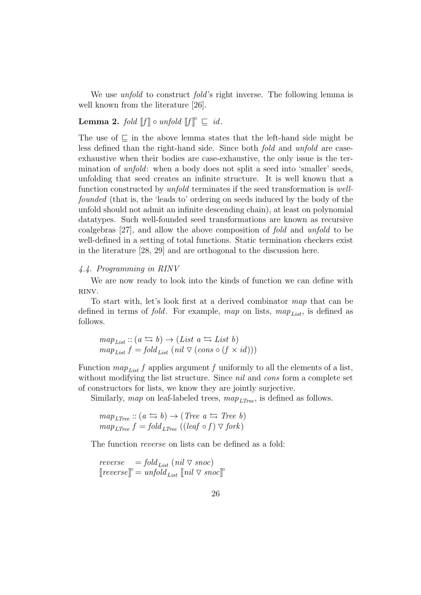We use *unfold* to construct *fold*'s right inverse. The following lemma is well known from the literature [26].

# **Lemma 2.** *fold*  $\llbracket f \rrbracket \circ \text{unfold} \llbracket f \rrbracket^{\circ} \sqsubset \text{ id.}$

The use of *⊑* in the above lemma states that the left-hand side might be less defined than the right-hand side. Since both *fold* and *unfold* are caseexhaustive when their bodies are case-exhaustive, the only issue is the termination of *unfold*: when a body does not split a seed into 'smaller' seeds, unfolding that seed creates an infinite structure. It is well known that a function constructed by *unfold* terminates if the seed transformation is *wellfounded* (that is, the 'leads to' ordering on seeds induced by the body of the unfold should not admit an infinite descending chain), at least on polynomial datatypes. Such well-founded seed transformations are known as recursive coalgebras [27], and allow the above composition of *fold* and *unfold* to be well-defined in a setting of total functions. Static termination checkers exist in the literature [28, 29] and are orthogonal to the discussion here.

### *4.4. Programming in RINV*

We are now ready to look into the kinds of function we can define with RINV.

To start with, let's look first at a derived combinator *map* that can be defined in terms of *fold*. For example, *map* on lists, *mapList*, is defined as follows.

 $map_{List} :: (a \leftrightarrows b) \rightarrow (List \ a \leftrightarrows List \ b)$  $map_{List} f = fold_{List} (nil \triangledown (cons \circ (f \times id)))$ 

Function  $map_{List} f$  applies argument  $f$  uniformly to all the elements of a list, without modifying the list structure. Since *nil* and *cons* form a complete set of constructors for lists, we know they are jointly surjective.

Similarly,  $map$  on leaf-labeled trees,  $map_{LTree}$ , is defined as follows.

$$
map_{LTree} :: (a \leftrightarrows b) \rightarrow (Tree \ a \leftrightarrows Tree \ b)
$$

$$
map_{LTree} f = fold_{LTree} ((leaf \circ f) \triangledown fork)
$$

The function *reverse* on lists can be defined as a fold:

 $reverse = fold_{List} (nil \triangledown snoc)$  $[reverse]^\circ = \overline{unfold}_{List}$   $[nil \triangledown \overline{s}noc]^\circ$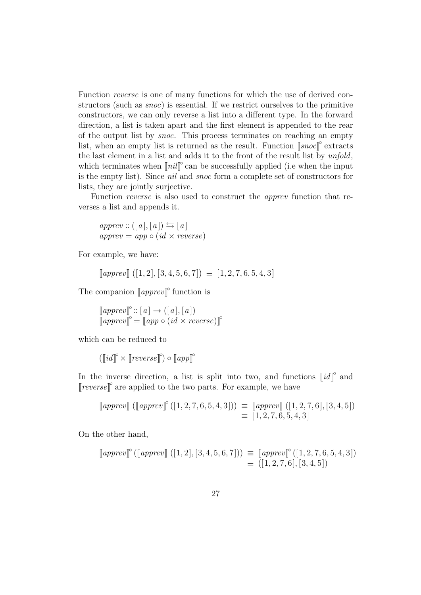Function *reverse* is one of many functions for which the use of derived constructors (such as *snoc*) is essential. If we restrict ourselves to the primitive constructors, we can only reverse a list into a different type. In the forward direction, a list is taken apart and the first element is appended to the rear of the output list by *snoc*. This process terminates on reaching an empty list, when an empty list is returned as the result. Function  $\llbracket snoc \rrbracket^$  $<sup>$  $extracts$ the last element in a list and adds it to the front of the result list by *unfold*, which terminates when  $[[nil]]^{\circ}$  can be successfully applied (i.e when the input is the empty list). Since *nil* and *snoc* form a complete set of constructors for lists, they are jointly surjective.

Function *reverse* is also used to construct the *apprev* function that reverses a list and appends it.

 $apprev::([a],[a]) \leftrightarrows [a]$  $apprev = app \circ (id \times reverse)$ 

For example, we have:

$$
[|approx] ([1,2], [3,4,5,6,7]) \equiv [1,2,7,6,5,4,3]
$$

The companion [[*apprev*]]*◦* function is

$$
[\![\mathit{apprev}]\!]^\circ :: [\![a]\!] \rightarrow ([\![a], [\![a]\!])
$$

$$
[\![\mathit{apprev}]\!]^\circ = [\![\mathit{app} \circ (\mathit{id} \times \mathit{reverse})]\!]^\circ
$$

which can be reduced to

 $([\![id]\!]^\circ \times [\![reverse]\!]^\circ) \circ [\![app]\!]^\circ$ 

In the inverse direction, a list is split into two, and functions  $[[id]]^{\circ}$  and [[*reverse*]]*◦* are applied to the two parts. For example, we have

$$
\begin{aligned} \llbracket \text{apprev} \rrbracket \ ( \llbracket \text{apprev} \rrbracket^{\circ} \ ( \llbracket 1, 2, 7, 6, 5, 4, 3 \rrbracket ) ) & \equiv \ \llbracket \text{apprev} \rrbracket \ ( \llbracket 1, 2, 7, 6 \rrbracket, \llbracket 3, 4, 5 \rrbracket ) \\ & \equiv \ \llbracket 1, 2, 7, 6, 5, 4, 3 \rrbracket \end{aligned}
$$

On the other hand,

$$
\begin{aligned} \llbracket \text{apprev} \rrbracket^{\circ} \left( \llbracket \text{apprev} \rrbracket \left( [1,2], [3,4,5,6,7] \right) \right) & \equiv \llbracket \text{apprev} \rrbracket^{\circ} \left( [1,2,7,6,5,4,3] \right) \\ & \equiv \left( [1,2,7,6], [3,4,5] \right) \end{aligned}
$$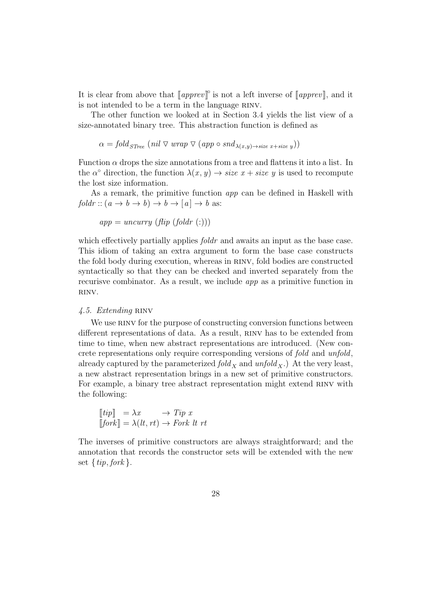It is clear from above that [[*apprev*]]*◦* is not a left inverse of [[*apprev*]], and it is not intended to be a term in the language RINV.

The other function we looked at in Section 3.4 yields the list view of a size-annotated binary tree. This abstraction function is defined as

$$
\alpha = fold_{STree} \ (nil \ \triangledown \ wrap \ \triangledown (app \circ \,snd_{\lambda(x,y) \to size \, x + size \, y}))
$$

Function  $\alpha$  drops the size annotations from a tree and flattens it into a list. In the  $\alpha^{\circ}$  direction, the function  $\lambda(x, y) \rightarrow size \ x + size \ y$  is used to recompute the lost size information.

As a remark, the primitive function *app* can be defined in Haskell with *foldr* ::  $(a \to b \to b) \to b \to [a] \to b$  as:

$$
app = uncurry
$$
 (flip (foldr (:)))

which effectively partially applies *foldr* and awaits an input as the base case. This idiom of taking an extra argument to form the base case constructs the fold body during execution, whereas in rinv, fold bodies are constructed syntactically so that they can be checked and inverted separately from the recurisve combinator. As a result, we include *app* as a primitive function in RINV.

#### 4.5. Extending RINV

We use RINV for the purpose of constructing conversion functions between different representations of data. As a result, RINV has to be extended from time to time, when new abstract representations are introduced. (New concrete representations only require corresponding versions of *fold* and *unfold*, already captured by the parameterized  $fold_X$  and  $unfold_X$ .) At the very least, a new abstract representation brings in a new set of primitive constructors. For example, a binary tree abstract representation might extend RINV with the following:

$$
\begin{array}{ll}\n[tip] & = \lambda x & \to \text{Tip } x \\
[fork] & = \lambda (lt, rt) \to \text{Fork } lt \text{ rt}\n\end{array}
$$

The inverses of primitive constructors are always straightforward; and the annotation that records the constructor sets will be extended with the new set *{tip, fork }*.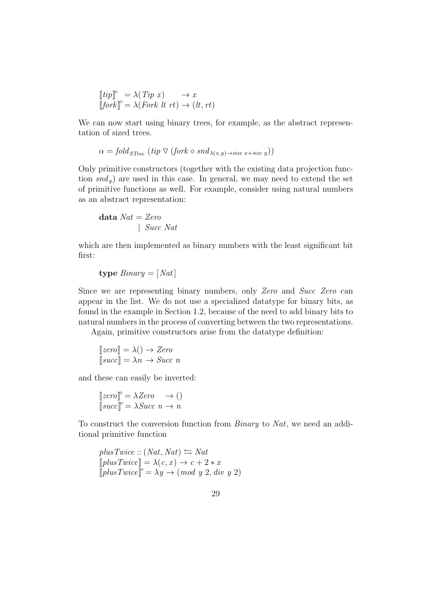$$
[[tip]]^{\circ} = \lambda (Tip x) \rightarrow x
$$
  

$$
[[fork]]^{\circ} = \lambda (Fork \, lt \, rt) \rightarrow (lt, rt)
$$

We can now start using binary trees, for example, as the abstract representation of sized trees.

$$
\alpha = fold_{\text{STree}} (tip \vee (fork \circ \text{snd}_{\lambda(x,y) \to \text{size } x + \text{size } y}))
$$

Only primitive constructors (together with the existing data projection function  $\text{snd}_q$  are used in this case. In general, we may need to extend the set of primitive functions as well. For example, consider using natural numbers as an abstract representation:

$$
\begin{array}{l} \textbf{data} \; Nat = Zero \\ \; | \; \; Succ \; Nat \end{array}
$$

which are then implemented as binary numbers with the least significant bit first:

**type**  $Binary = [Nat]$ 

Since we are representing binary numbers, only *Zero* and *Succ Zero* can appear in the list. We do not use a specialized datatype for binary bits, as found in the example in Section 1.2, because of the need to add binary bits to natural numbers in the process of converting between the two representations.

Again, primitive constructors arise from the datatype definition:

$$
[zero] = \lambda() \rightarrow Zero
$$
  

$$
[succ] = \lambda n \rightarrow Succ \ n
$$

and these can easily be inverted:

$$
[zero]^\circ = \lambda Zero \rightarrow ()
$$
  

$$
[succ]^\circ = \lambda Succ \quad n \rightarrow n
$$

To construct the conversion function from *Binary* to *Nat*, we need an additional primitive function

 $plusTwice :: (Nat, Nat) \leftrightharpoons Nat$  $[plusTwice] = \lambda(c, x) \rightarrow c + 2*x$  $[plusTwice]]^\circ = \lambda y \rightarrow (mod \ y \ 2, div \ y \ 2)$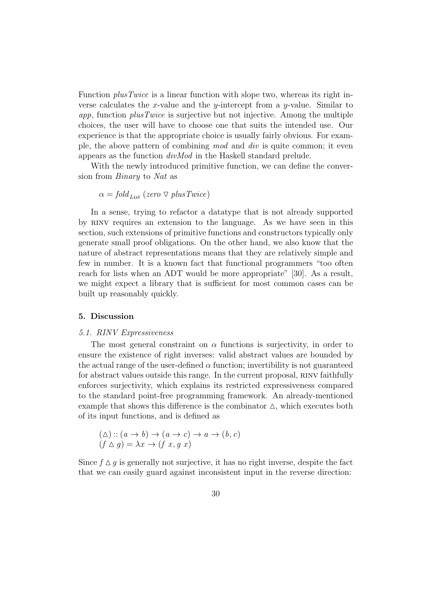Function *plusTwice* is a linear function with slope two, whereas its right inverse calculates the *x*-value and the *y*-intercept from a *y*-value. Similar to *app*, function *plusTwice* is surjective but not injective. Among the multiple choices, the user will have to choose one that suits the intended use. Our experience is that the appropriate choice is usually fairly obvious. For example, the above pattern of combining *mod* and *div* is quite common; it even appears as the function *divMod* in the Haskell standard prelude.

With the newly introduced primitive function, we can define the conversion from *Binary* to *Nat* as

$$
\alpha = fold_{List} \ (zero \ \triangledown \ plusTwice)
$$

In a sense, trying to refactor a datatype that is not already supported by rinv requires an extension to the language. As we have seen in this section, such extensions of primitive functions and constructors typically only generate small proof obligations. On the other hand, we also know that the nature of abstract representations means that they are relatively simple and few in number. It is a known fact that functional programmers "too often reach for lists when an ADT would be more appropriate" [30]. As a result, we might expect a library that is sufficient for most common cases can be built up reasonably quickly.

## **5. Discussion**

#### *5.1. RINV Expressiveness*

The most general constraint on  $\alpha$  functions is surjectivity, in order to ensure the existence of right inverses: valid abstract values are bounded by the actual range of the user-defined  $\alpha$  function; invertibility is not guaranteed for abstract values outside this range. In the current proposal, RINV faithfully enforces surjectivity, which explains its restricted expressiveness compared to the standard point-free programming framework. An already-mentioned example that shows this difference is the combinator  $\Delta$ , which executes both of its input functions, and is defined as

$$
(\Delta) :: (a \to b) \to (a \to c) \to a \to (b, c)
$$
  

$$
(f \Delta g) = \lambda x \to (f x, g x)
$$

Since  $f \Delta q$  is generally not surjective, it has no right inverse, despite the fact that we can easily guard against inconsistent input in the reverse direction: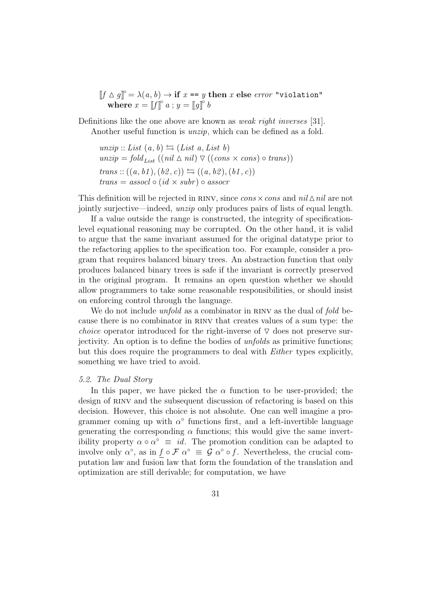$[$  $[$  $f \Delta g$  $]$ <sup> $\circ$ </sup> =  $\lambda$  $(a, b)$   $\rightarrow$  **if**  $x = y$  **then**  $x$  **else** *error* "violation" where  $x = \llbracket f \rrbracket^{\circ} a$ ;  $y = \llbracket g \rrbracket^{\circ} b$ 

Definitions like the one above are known as *weak right inverses* [31]. Another useful function is *unzip*, which can be defined as a fold.

 $unzip :: List(a, b) \leftrightarrows (List a, List b)$  $unzip = fold_{List} ((nil \triangle nil) \triangledown ((cons \times cons) \circ trans))$  $trans: ((a, b1), (b2, c)) \leftrightarrows ((a, b2), (b1, c))$  $trans = assocl \circ (id \times subr) \circ assocr$ 

This definition will be rejected in RINV, since  $cons \times cons$  and  $nil \triangle nil$  are not jointly surjective—indeed, *unzip* only produces pairs of lists of equal length.

If a value outside the range is constructed, the integrity of specificationlevel equational reasoning may be corrupted. On the other hand, it is valid to argue that the same invariant assumed for the original datatype prior to the refactoring applies to the specification too. For example, consider a program that requires balanced binary trees. An abstraction function that only produces balanced binary trees is safe if the invariant is correctly preserved in the original program. It remains an open question whether we should allow programmers to take some reasonable responsibilities, or should insist on enforcing control through the language.

We do not include *unfold* as a combinator in RINV as the dual of *fold* because there is no combinator in rinv that creates values of a sum type: the *choice* operator introduced for the right-inverse of ▽ does not preserve surjectivity. An option is to define the bodies of *unfold*s as primitive functions; but this does require the programmers to deal with *Either* types explicitly, something we have tried to avoid.

#### *5.2. The Dual Story*

In this paper, we have picked the  $\alpha$  function to be user-provided; the design of RINV and the subsequent discussion of refactoring is based on this decision. However, this choice is not absolute. One can well imagine a programmer coming up with  $\alpha^{\circ}$  functions first, and a left-invertible language generating the corresponding  $\alpha$  functions; this would give the same invertibility property  $\alpha \circ \alpha^{\circ} \equiv id$ . The promotion condition can be adapted to involve only  $\alpha^{\circ}$ , as in  $f \circ \mathcal{F} \alpha^{\circ} \equiv \mathcal{G} \alpha^{\circ} \circ f$ . Nevertheless, the crucial computation law and fusion law that form the foundation of the translation and optimization are still derivable; for computation, we have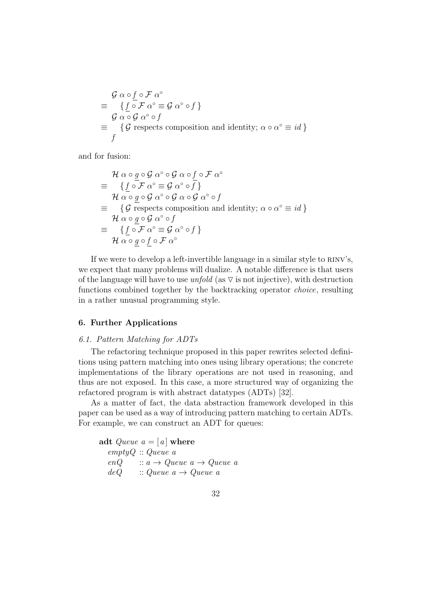$$
\mathcal{G} \alpha \circ f \circ \mathcal{F} \alpha^{\circ}
$$
\n
$$
\equiv \{ f \circ \mathcal{F} \alpha^{\circ} \equiv \mathcal{G} \alpha^{\circ} \circ f \}
$$
\n
$$
\mathcal{G} \alpha \circ \mathcal{G} \alpha^{\circ} \circ f
$$
\n
$$
\equiv \{ \mathcal{G} \text{ respects composition and identity}; \alpha \circ \alpha^{\circ} \equiv id \}
$$

and for fusion:

$$
\mathcal{H} \alpha \circ \underline{g} \circ \mathcal{G} \alpha^{\circ} \circ \mathcal{G} \alpha \circ \underline{f} \circ \mathcal{F} \alpha^{\circ}
$$
\n
$$
\equiv \{ \underline{f} \circ \mathcal{F} \alpha^{\circ} \equiv \mathcal{G} \alpha^{\circ} \circ \overline{f} \}
$$
\n
$$
\mathcal{H} \alpha \circ \underline{g} \circ \mathcal{G} \alpha^{\circ} \circ \mathcal{G} \alpha \circ \mathcal{G} \alpha^{\circ} \circ f
$$
\n
$$
\equiv \{ \mathcal{G} \text{ respects composition and identity; } \alpha \circ \alpha^{\circ} \equiv id \}
$$
\n
$$
\mathcal{H} \alpha \circ \underline{g} \circ \mathcal{G} \alpha^{\circ} \circ f
$$
\n
$$
\equiv \{ \underline{f} \circ \mathcal{F} \alpha^{\circ} \equiv \mathcal{G} \alpha^{\circ} \circ f \}
$$
\n
$$
\mathcal{H} \alpha \circ \underline{g} \circ \mathcal{G} \circ \mathcal{F} \alpha^{\circ}
$$

If we were to develop a left-invertible language in a similar style to RINV's, we expect that many problems will dualize. A notable difference is that users of the language will have to use  $unfold$  (as  $\triangledown$  is not injective), with destruction functions combined together by the backtracking operator *choice*, resulting in a rather unusual programming style.

## **6. Further Applications**

## *6.1. Pattern Matching for ADTs*

The refactoring technique proposed in this paper rewrites selected definitions using pattern matching into ones using library operations; the concrete implementations of the library operations are not used in reasoning, and thus are not exposed. In this case, a more structured way of organizing the refactored program is with abstract datatypes (ADTs) [32].

As a matter of fact, the data abstraction framework developed in this paper can be used as a way of introducing pattern matching to certain ADTs. For example, we can construct an ADT for queues:

**adt** *Queue*  $a = [a]$  **where** *emptyQ* :: *Queue a*  $enQ$   $\therefore a \rightarrow Queue \ a \rightarrow Queue \ a$  $deQ$  :: *Queue a*  $\rightarrow$  *Queue a*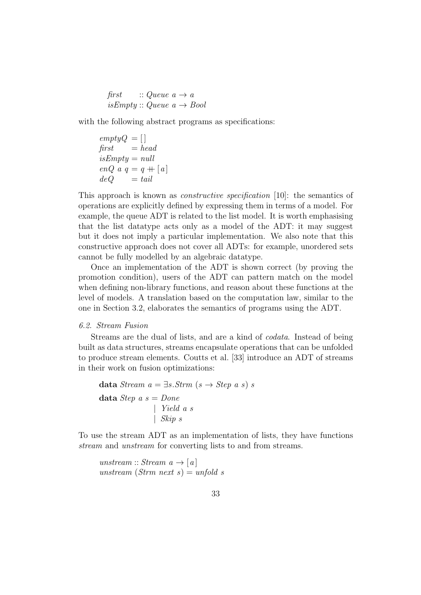```
first \therefore Queue a \rightarrow aisEmpty::Queue\ a \rightarrow Bool
```
with the following abstract programs as specifications:

 $emptyQ = []$  $first = head$ *isEmpty* = *null*  $enQ \ a \ q = q + [a]$  $deQ = tail$ 

This approach is known as *constructive specification* [10]: the semantics of operations are explicitly defined by expressing them in terms of a model. For example, the queue ADT is related to the list model. It is worth emphasising that the list datatype acts only as a model of the ADT: it may suggest but it does not imply a particular implementation. We also note that this constructive approach does not cover all ADTs: for example, unordered sets cannot be fully modelled by an algebraic datatype.

Once an implementation of the ADT is shown correct (by proving the promotion condition), users of the ADT can pattern match on the model when defining non-library functions, and reason about these functions at the level of models. A translation based on the computation law, similar to the one in Section 3.2, elaborates the semantics of programs using the ADT.

#### *6.2. Stream Fusion*

Streams are the dual of lists, and are a kind of *codata*. Instead of being built as data structures, streams encapsulate operations that can be unfolded to produce stream elements. Coutts et al. [33] introduce an ADT of streams in their work on fusion optimizations:

$$
\begin{array}{l}\n\textbf{data Stream } a = \exists s. \textit{Strm } (s \rightarrow \textit{Step a s}) \ s \\
\textbf{data Step } a \ s = \textit{Done} \\
 & | \quad \textit{Yield } a \ s \\
 & | \quad \textit{skip } s\n\end{array}
$$

To use the stream ADT as an implementation of lists, they have functions *stream* and *unstream* for converting lists to and from streams.

 $unstream :: Stream a \rightarrow [a]$ *unstream* (*Strm next s*) = *unfold s*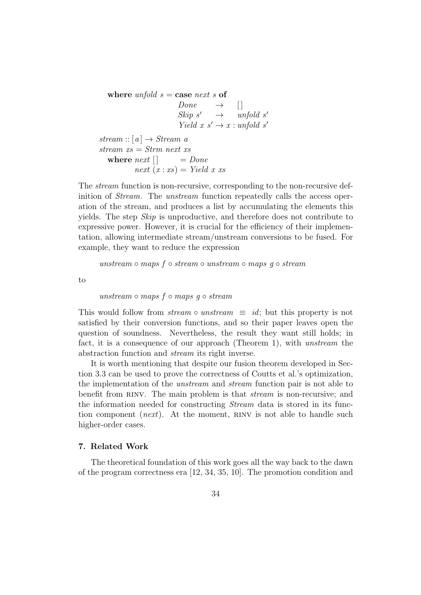**where**  $unfold$   $s = \text{case}$   $next$   $s$  of  $Done \rightarrow [$  $\mathit{skip} s' \rightarrow \text{unfold} s'$ *Yield x s'*  $\rightarrow$  *x* : *unfold s'*  $stream :: [a] \rightarrow Stream \ a$ *stream xs* = *Strm next xs* where  $next$   $|$   $= Done$  $next(x:xs) = Yield x xs$ 

The *stream* function is non-recursive, corresponding to the non-recursive definition of *Stream*. The *unstream* function repeatedly calls the access operation of the stream, and produces a list by accumulating the elements this yields. The step *Skip* is unproductive, and therefore does not contribute to expressive power. However, it is crucial for the efficiency of their implementation, allowing intermediate stream/unstream conversions to be fused. For example, they want to reduce the expression

*unstream ◦ maps f ◦ stream ◦ unstream ◦ maps g ◦ stream*

to

*unstream ◦ maps f ◦ maps g ◦ stream*

This would follow from *stream*  $\circ$  *unstream*  $\equiv id$ ; but this property is not satisfied by their conversion functions, and so their paper leaves open the question of soundness. Nevertheless, the result they want still holds; in fact, it is a consequence of our approach (Theorem 1), with *unstream* the abstraction function and *stream* its right inverse.

It is worth mentioning that despite our fusion theorem developed in Section 3.3 can be used to prove the correctness of Coutts et al.'s optimization, the implementation of the *unstream* and *stream* function pair is not able to benefit from RINV. The main problem is that *stream* is non-recursive; and the information needed for constructing *Stream* data is stored in its function component (*next*). At the moment, RINV is not able to handle such higher-order cases.

# **7. Related Work**

The theoretical foundation of this work goes all the way back to the dawn of the program correctness era [12, 34, 35, 10]. The promotion condition and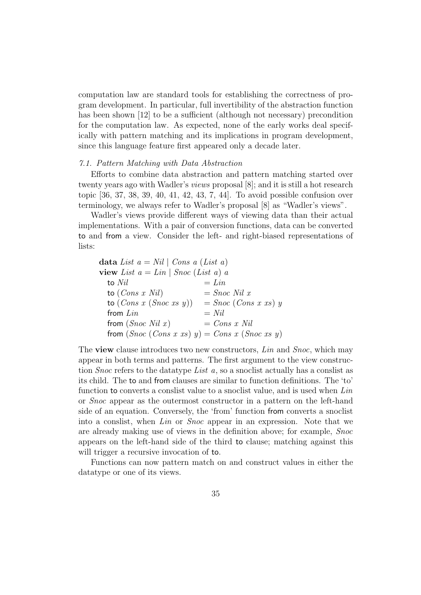computation law are standard tools for establishing the correctness of program development. In particular, full invertibility of the abstraction function has been shown [12] to be a sufficient (although not necessary) precondition for the computation law. As expected, none of the early works deal specifically with pattern matching and its implications in program development, since this language feature first appeared only a decade later.

#### *7.1. Pattern Matching with Data Abstraction*

Efforts to combine data abstraction and pattern matching started over twenty years ago with Wadler's *views* proposal [8]; and it is still a hot research topic [36, 37, 38, 39, 40, 41, 42, 43, 7, 44]. To avoid possible confusion over terminology, we always refer to Wadler's proposal [8] as "Wadler's views".

Wadler's views provide different ways of viewing data than their actual implementations. With a pair of conversion functions, data can be converted to and from a view. Consider the left- and right-biased representations of lists:

**data** *List*  $a = Nil \mid Cons \ a \ (List \ a)$ **view** *List*  $a = Lin |$  *Snoc* (*List*  $a$ )  $a$ to  $Nil$   $= Lin$  $\mathbf{to}$  (*Cons x Nil*)  $=$  *Snoc Nil x*  $\text{to } (Cons\ x\ (Since\ xs\ y)) = Since\ (Cons\ x\ xs)\ y$ from  $Lin$  =  $Nil$ from  $(Snoc Nil x)$  =  $Cons x Nil$ from  $(Snoc (Cons x xs) y) = Cons x (Snoc xs y)$ 

The **view** clause introduces two new constructors, *Lin* and *Snoc*, which may appear in both terms and patterns. The first argument to the view construction *Snoc* refers to the datatype *List a*, so a snoclist actually has a conslist as its child. The to and from clauses are similar to function definitions. The 'to' function to converts a conslist value to a snoclist value, and is used when *Lin* or *Snoc* appear as the outermost constructor in a pattern on the left-hand side of an equation. Conversely, the 'from' function from converts a snoclist into a conslist, when *Lin* or *Snoc* appear in an expression. Note that we are already making use of views in the definition above; for example, *Snoc* appears on the left-hand side of the third to clause; matching against this will trigger a recursive invocation of to.

Functions can now pattern match on and construct values in either the datatype or one of its views.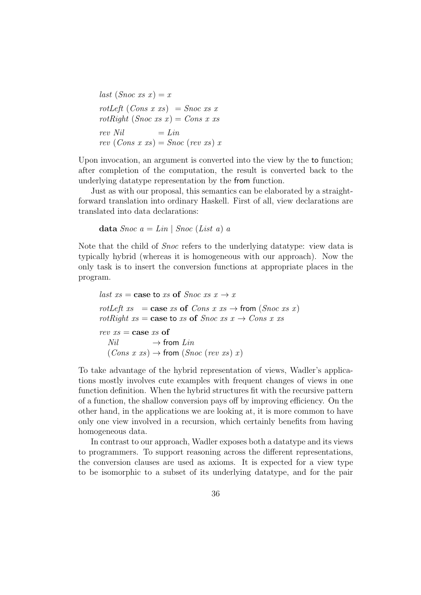*last*  $(Snoc xs x) = x$  $rotLeft$  (*Cons x xs*) = *Snoc xs x*  $rotRight(Snoc xs x) = Cons x xs$  $rev$  *Nil*  $= Lin$  $rev (Cons x xs) = Since (rev xs) x$ 

Upon invocation, an argument is converted into the view by the to function; after completion of the computation, the result is converted back to the underlying datatype representation by the from function.

Just as with our proposal, this semantics can be elaborated by a straightforward translation into ordinary Haskell. First of all, view declarations are translated into data declarations:

 $\textbf{data} \text{ } \textit{Snoc} \text{ } a = \textit{Lin} \text{ } | \text{ } \textit{Snoc} \text{ } (\textit{List} \text{ } a) \text{ } a$ 

Note that the child of *Snoc* refers to the underlying datatype: view data is typically hybrid (whereas it is homogeneous with our approach). Now the only task is to insert the conversion functions at appropriate places in the program.

$$
last\ xs = \text{case to xs of } \text{Snoc } xs \to x
$$
\n
$$
rotLeft\ xs = \text{case xs of } \text{Cons } x\ xs \to \text{from } (\text{Snoc } xs \ x)
$$
\n
$$
rotRight\ xs = \text{case to xs of } \text{Snoc } xs \ x \to \text{Cons } x\ xs
$$
\n
$$
rev\ xs = \text{case xs of}
$$
\n
$$
Nil \longrightarrow \text{from } Lin
$$
\n
$$
(\text{Cons } x\ xs) \to \text{from } (\text{Snoc } (rev\ xs) \ x)
$$

To take advantage of the hybrid representation of views, Wadler's applications mostly involves cute examples with frequent changes of views in one function definition. When the hybrid structures fit with the recursive pattern of a function, the shallow conversion pays off by improving efficiency. On the other hand, in the applications we are looking at, it is more common to have only one view involved in a recursion, which certainly benefits from having homogeneous data.

In contrast to our approach, Wadler exposes both a datatype and its views to programmers. To support reasoning across the different representations, the conversion clauses are used as axioms. It is expected for a view type to be isomorphic to a subset of its underlying datatype, and for the pair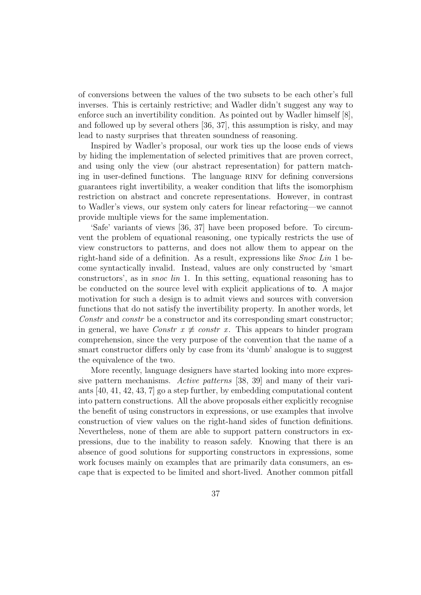of conversions between the values of the two subsets to be each other's full inverses. This is certainly restrictive; and Wadler didn't suggest any way to enforce such an invertibility condition. As pointed out by Wadler himself [8], and followed up by several others [36, 37], this assumption is risky, and may lead to nasty surprises that threaten soundness of reasoning.

Inspired by Wadler's proposal, our work ties up the loose ends of views by hiding the implementation of selected primitives that are proven correct, and using only the view (our abstract representation) for pattern matching in user-defined functions. The language rinv for defining conversions guarantees right invertibility, a weaker condition that lifts the isomorphism restriction on abstract and concrete representations. However, in contrast to Wadler's views, our system only caters for linear refactoring—we cannot provide multiple views for the same implementation.

'Safe' variants of views [36, 37] have been proposed before. To circumvent the problem of equational reasoning, one typically restricts the use of view constructors to patterns, and does not allow them to appear on the right-hand side of a definition. As a result, expressions like *Snoc Lin* 1 become syntactically invalid. Instead, values are only constructed by 'smart constructors', as in *snoc lin* 1. In this setting, equational reasoning has to be conducted on the source level with explicit applications of to. A major motivation for such a design is to admit views and sources with conversion functions that do not satisfy the invertibility property. In another words, let *Constr* and *constr* be a constructor and its corresponding smart constructor; in general, we have *Constr x*  $\neq$  *constr x*. This appears to hinder program comprehension, since the very purpose of the convention that the name of a smart constructor differs only by case from its 'dumb' analogue is to suggest the equivalence of the two.

More recently, language designers have started looking into more expressive pattern mechanisms. *Active patterns* [38, 39] and many of their variants [40, 41, 42, 43, 7] go a step further, by embedding computational content into pattern constructions. All the above proposals either explicitly recognise the benefit of using constructors in expressions, or use examples that involve construction of view values on the right-hand sides of function definitions. Nevertheless, none of them are able to support pattern constructors in expressions, due to the inability to reason safely. Knowing that there is an absence of good solutions for supporting constructors in expressions, some work focuses mainly on examples that are primarily data consumers, an escape that is expected to be limited and short-lived. Another common pitfall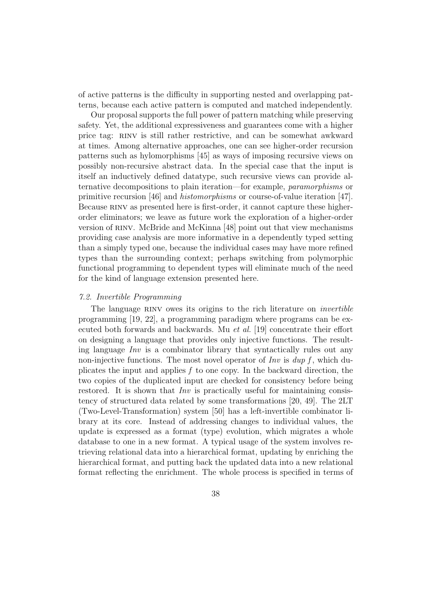of active patterns is the difficulty in supporting nested and overlapping patterns, because each active pattern is computed and matched independently.

Our proposal supports the full power of pattern matching while preserving safety. Yet, the additional expressiveness and guarantees come with a higher price tag: RINV is still rather restrictive, and can be somewhat awkward at times. Among alternative approaches, one can see higher-order recursion patterns such as hylomorphisms [45] as ways of imposing recursive views on possibly non-recursive abstract data. In the special case that the input is itself an inductively defined datatype, such recursive views can provide alternative decompositions to plain iteration—for example, *paramorphisms* or primitive recursion [46] and *histomorphisms* or course-of-value iteration [47]. Because RINV as presented here is first-order, it cannot capture these higherorder eliminators; we leave as future work the exploration of a higher-order version of RINV. McBride and McKinna [48] point out that view mechanisms providing case analysis are more informative in a dependently typed setting than a simply typed one, because the individual cases may have more refined types than the surrounding context; perhaps switching from polymorphic functional programming to dependent types will eliminate much of the need for the kind of language extension presented here.

#### *7.2. Invertible Programming*

The language RINV owes its origins to the rich literature on *invertible* programming [19, 22], a programming paradigm where programs can be executed both forwards and backwards. Mu *et al.* [19] concentrate their effort on designing a language that provides only injective functions. The resulting language *Inv* is a combinator library that syntactically rules out any non-injective functions. The most novel operator of *Inv* is *dup f* , which duplicates the input and applies *f* to one copy. In the backward direction, the two copies of the duplicated input are checked for consistency before being restored. It is shown that *Inv* is practically useful for maintaining consistency of structured data related by some transformations [20, 49]. The 2LT (Two-Level-Transformation) system [50] has a left-invertible combinator library at its core. Instead of addressing changes to individual values, the update is expressed as a format (type) evolution, which migrates a whole database to one in a new format. A typical usage of the system involves retrieving relational data into a hierarchical format, updating by enriching the hierarchical format, and putting back the updated data into a new relational format reflecting the enrichment. The whole process is specified in terms of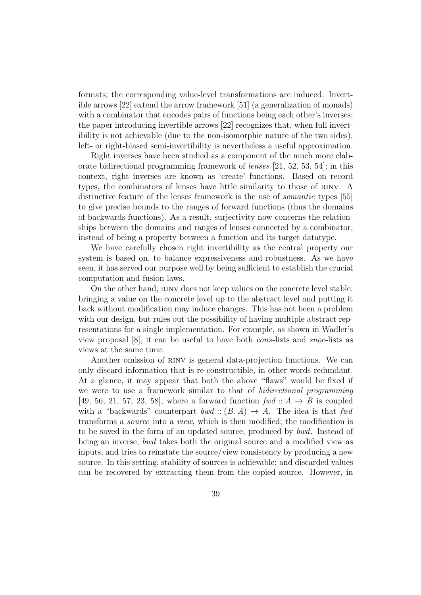formats; the corresponding value-level transformations are induced. Invertible arrows [22] extend the arrow framework [51] (a generalization of monads) with a combinator that encodes pairs of functions being each other's inverses; the paper introducing invertible arrows [22] recognizes that, when full invertibility is not achievable (due to the non-isomorphic nature of the two sides), left- or right-biased semi-invertibility is nevertheless a useful approximation.

Right inverses have been studied as a component of the much more elaborate bidirectional programming framework of *lenses* [21, 52, 53, 54]; in this context, right inverses are known as 'create' functions. Based on record types, the combinators of lenses have little similarity to those of rinv. A distinctive feature of the lenses framework is the use of *semantic* types [55] to give precise bounds to the ranges of forward functions (thus the domains of backwards functions). As a result, surjectivity now concerns the relationships between the domains and ranges of lenses connected by a combinator, instead of being a property between a function and its target datatype.

We have carefully chosen right invertibility as the central property our system is based on, to balance expressiveness and robustness. As we have seen, it has served our purpose well by being sufficient to establish the crucial computation and fusion laws.

On the other hand, RINV does not keep values on the concrete level stable: bringing a value on the concrete level up to the abstract level and putting it back without modification may induce changes. This has not been a problem with our design, but rules out the possibility of having multiple abstract representations for a single implementation. For example, as shown in Wadler's view proposal [8], it can be useful to have both *cons*-lists and *snoc*-lists as views at the same time.

Another omission of RINV is general data-projection functions. We can only discard information that is re-constructible, in other words redundant. At a glance, it may appear that both the above "flaws" would be fixed if we were to use a framework similar to that of *bidirectional programming* [49, 56, 21, 57, 23, 58], where a forward function  $fwd :: A \rightarrow B$  is coupled with a "backwards" counterpart *bwd* ::  $(B, A) \rightarrow A$ . The idea is that *fwd* transforms a *source* into a *view*, which is then modified; the modification is to be saved in the form of an updated source, produced by *bwd*. Instead of being an inverse, *bwd* takes both the original source and a modified view as inputs, and tries to reinstate the source/view consistency by producing a new source. In this setting, stability of sources is achievable; and discarded values can be recovered by extracting them from the copied source. However, in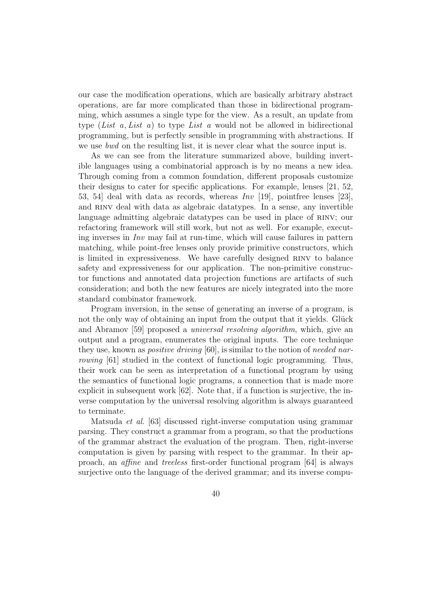our case the modification operations, which are basically arbitrary abstract operations, are far more complicated than those in bidirectional programming, which assumes a single type for the view. As a result, an update from type (*List a, List a*) to type *List a* would not be allowed in bidirectional programming, but is perfectly sensible in programming with abstractions. If we use *bwd* on the resulting list, it is never clear what the source input is.

As we can see from the literature summarized above, building invertible languages using a combinatorial approach is by no means a new idea. Through coming from a common foundation, different proposals customize their designs to cater for specific applications. For example, lenses [21, 52, 53, 54] deal with data as records, whereas *Inv* [19], pointfree lenses [23], and RINV deal with data as algebraic datatypes. In a sense, any invertible language admitting algebraic datatypes can be used in place of RINV; our refactoring framework will still work, but not as well. For example, executing inverses in *Inv* may fail at run-time, which will cause failures in pattern matching, while point-free lenses only provide primitive constructors, which is limited in expressiveness. We have carefully designed rinv to balance safety and expressiveness for our application. The non-primitive constructor functions and annotated data projection functions are artifacts of such consideration; and both the new features are nicely integrated into the more standard combinator framework.

Program inversion, in the sense of generating an inverse of a program, is not the only way of obtaining an input from the output that it yields. Glück and Abramov [59] proposed a *universal resolving algorithm*, which, give an output and a program, enumerates the original inputs. The core technique they use, known as *positive driving* [60], is similar to the notion of *needed narrowing* [61] studied in the context of functional logic programming. Thus, their work can be seen as interpretation of a functional program by using the semantics of functional logic programs, a connection that is made more explicit in subsequent work [62]. Note that, if a function is surjective, the inverse computation by the universal resolving algorithm is always guaranteed to terminate.

Matsuda *et al.* [63] discussed right-inverse computation using grammar parsing. They construct a grammar from a program, so that the productions of the grammar abstract the evaluation of the program. Then, right-inverse computation is given by parsing with respect to the grammar. In their approach, an *affine* and *treeless* first-order functional program [64] is always surjective onto the language of the derived grammar; and its inverse compu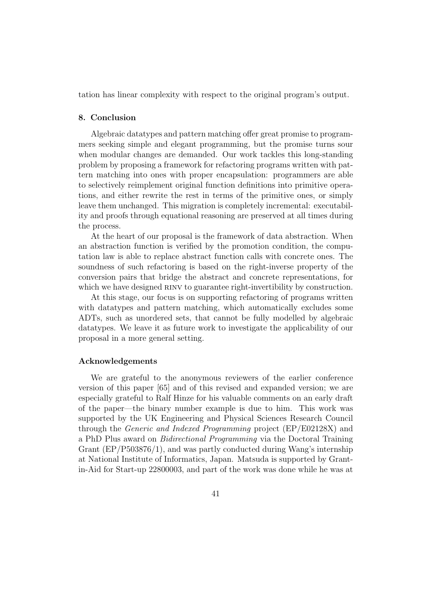tation has linear complexity with respect to the original program's output.

#### **8. Conclusion**

Algebraic datatypes and pattern matching offer great promise to programmers seeking simple and elegant programming, but the promise turns sour when modular changes are demanded. Our work tackles this long-standing problem by proposing a framework for refactoring programs written with pattern matching into ones with proper encapsulation: programmers are able to selectively reimplement original function definitions into primitive operations, and either rewrite the rest in terms of the primitive ones, or simply leave them unchanged. This migration is completely incremental: executability and proofs through equational reasoning are preserved at all times during the process.

At the heart of our proposal is the framework of data abstraction. When an abstraction function is verified by the promotion condition, the computation law is able to replace abstract function calls with concrete ones. The soundness of such refactoring is based on the right-inverse property of the conversion pairs that bridge the abstract and concrete representations, for which we have designed RINV to guarantee right-invertibility by construction.

At this stage, our focus is on supporting refactoring of programs written with datatypes and pattern matching, which automatically excludes some ADTs, such as unordered sets, that cannot be fully modelled by algebraic datatypes. We leave it as future work to investigate the applicability of our proposal in a more general setting.

#### **Acknowledgements**

We are grateful to the anonymous reviewers of the earlier conference version of this paper [65] and of this revised and expanded version; we are especially grateful to Ralf Hinze for his valuable comments on an early draft of the paper—the binary number example is due to him. This work was supported by the UK Engineering and Physical Sciences Research Council through the *Generic and Indexed Programming* project (EP/E02128X) and a PhD Plus award on *Bidirectional Programming* via the Doctoral Training Grant (EP/P503876/1), and was partly conducted during Wang's internship at National Institute of Informatics, Japan. Matsuda is supported by Grantin-Aid for Start-up 22800003, and part of the work was done while he was at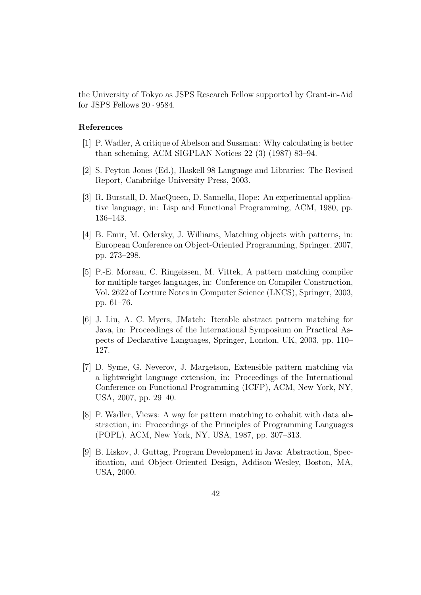the University of Tokyo as JSPS Research Fellow supported by Grant-in-Aid for JSPS Fellows 20 *·* 9584.

# **References**

- [1] P. Wadler, A critique of Abelson and Sussman: Why calculating is better than scheming, ACM SIGPLAN Notices 22 (3) (1987) 83–94.
- [2] S. Peyton Jones (Ed.), Haskell 98 Language and Libraries: The Revised Report, Cambridge University Press, 2003.
- [3] R. Burstall, D. MacQueen, D. Sannella, Hope: An experimental applicative language, in: Lisp and Functional Programming, ACM, 1980, pp. 136–143.
- [4] B. Emir, M. Odersky, J. Williams, Matching objects with patterns, in: European Conference on Object-Oriented Programming, Springer, 2007, pp. 273–298.
- [5] P.-E. Moreau, C. Ringeissen, M. Vittek, A pattern matching compiler for multiple target languages, in: Conference on Compiler Construction, Vol. 2622 of Lecture Notes in Computer Science (LNCS), Springer, 2003, pp. 61–76.
- [6] J. Liu, A. C. Myers, JMatch: Iterable abstract pattern matching for Java, in: Proceedings of the International Symposium on Practical Aspects of Declarative Languages, Springer, London, UK, 2003, pp. 110– 127.
- [7] D. Syme, G. Neverov, J. Margetson, Extensible pattern matching via a lightweight language extension, in: Proceedings of the International Conference on Functional Programming (ICFP), ACM, New York, NY, USA, 2007, pp. 29–40.
- [8] P. Wadler, Views: A way for pattern matching to cohabit with data abstraction, in: Proceedings of the Principles of Programming Languages (POPL), ACM, New York, NY, USA, 1987, pp. 307–313.
- [9] B. Liskov, J. Guttag, Program Development in Java: Abstraction, Specification, and Object-Oriented Design, Addison-Wesley, Boston, MA, USA, 2000.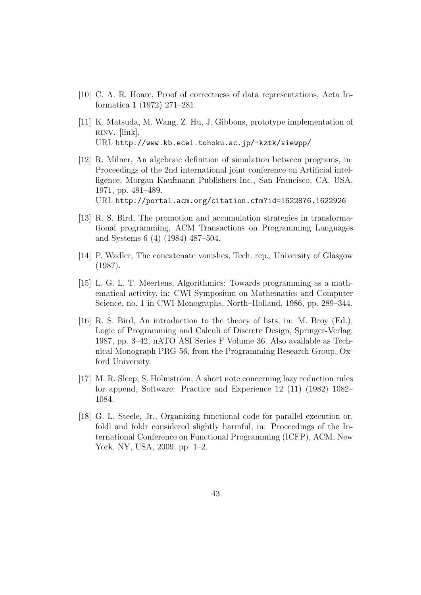- [10] C. A. R. Hoare, Proof of correctness of data representations, Acta Informatica 1 (1972) 271–281.
- [11] K. Matsuda, M. Wang, Z. Hu, J. Gibbons, prototype implementation of rinv. [link]. URL http://www.kb.ecei.tohoku.ac.jp/~kztk/viewpp/
- [12] R. Milner, An algebraic definition of simulation between programs, in: Proceedings of the 2nd international joint conference on Artificial intelligence, Morgan Kaufmann Publishers Inc., San Francisco, CA, USA, 1971, pp. 481–489. URL http://portal.acm.org/citation.cfm?id=1622876.1622926
- [13] R. S. Bird, The promotion and accumulation strategies in transformational programming, ACM Transactions on Programming Languages and Systems 6 (4) (1984) 487–504.
- [14] P. Wadler, The concatenate vanishes, Tech. rep., University of Glasgow (1987).
- [15] L. G. L. T. Meertens, Algorithmics: Towards programming as a mathematical activity, in: CWI Symposium on Mathematics and Computer Science, no. 1 in CWI-Monographs, North–Holland, 1986, pp. 289–344.
- [16] R. S. Bird, An introduction to the theory of lists, in: M. Broy (Ed.), Logic of Programming and Calculi of Discrete Design, Springer-Verlag, 1987, pp. 3–42, nATO ASI Series F Volume 36. Also available as Technical Monograph PRG-56, from the Programming Research Group, Oxford University.
- [17] M. R. Sleep, S. Holmström, A short note concerning lazy reduction rules for append, Software: Practice and Experience 12 (11) (1982) 1082– 1084.
- [18] G. L. Steele, Jr., Organizing functional code for parallel execution or, foldl and foldr considered slightly harmful, in: Proceedings of the International Conference on Functional Programming (ICFP), ACM, New York, NY, USA, 2009, pp. 1–2.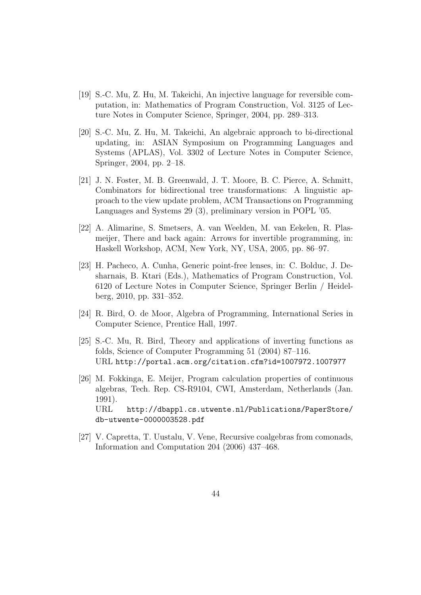- [19] S.-C. Mu, Z. Hu, M. Takeichi, An injective language for reversible computation, in: Mathematics of Program Construction, Vol. 3125 of Lecture Notes in Computer Science, Springer, 2004, pp. 289–313.
- [20] S.-C. Mu, Z. Hu, M. Takeichi, An algebraic approach to bi-directional updating, in: ASIAN Symposium on Programming Languages and Systems (APLAS), Vol. 3302 of Lecture Notes in Computer Science, Springer, 2004, pp. 2–18.
- [21] J. N. Foster, M. B. Greenwald, J. T. Moore, B. C. Pierce, A. Schmitt, Combinators for bidirectional tree transformations: A linguistic approach to the view update problem, ACM Transactions on Programming Languages and Systems 29 (3), preliminary version in POPL '05.
- [22] A. Alimarine, S. Smetsers, A. van Weelden, M. van Eekelen, R. Plasmeijer, There and back again: Arrows for invertible programming, in: Haskell Workshop, ACM, New York, NY, USA, 2005, pp. 86–97.
- [23] H. Pacheco, A. Cunha, Generic point-free lenses, in: C. Bolduc, J. Desharnais, B. Ktari (Eds.), Mathematics of Program Construction, Vol. 6120 of Lecture Notes in Computer Science, Springer Berlin / Heidelberg, 2010, pp. 331–352.
- [24] R. Bird, O. de Moor, Algebra of Programming, International Series in Computer Science, Prentice Hall, 1997.
- [25] S.-C. Mu, R. Bird, Theory and applications of inverting functions as folds, Science of Computer Programming 51 (2004) 87–116. URL http://portal.acm.org/citation.cfm?id=1007972.1007977
- [26] M. Fokkinga, E. Meijer, Program calculation properties of continuous algebras, Tech. Rep. CS-R9104, CWI, Amsterdam, Netherlands (Jan. 1991). URL http://dbappl.cs.utwente.nl/Publications/PaperStore/ db-utwente-0000003528.pdf
- [27] V. Capretta, T. Uustalu, V. Vene, Recursive coalgebras from comonads, Information and Computation 204 (2006) 437–468.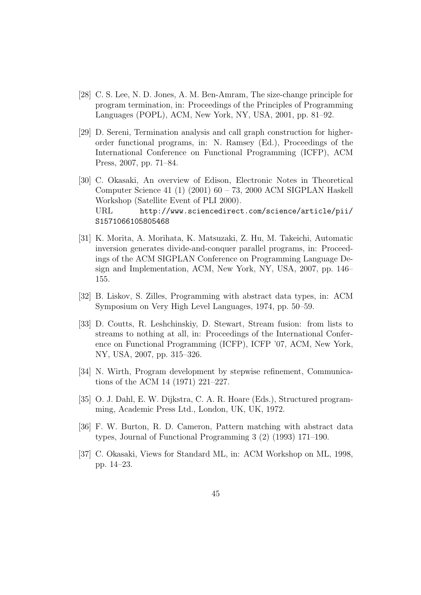- [28] C. S. Lee, N. D. Jones, A. M. Ben-Amram, The size-change principle for program termination, in: Proceedings of the Principles of Programming Languages (POPL), ACM, New York, NY, USA, 2001, pp. 81–92.
- [29] D. Sereni, Termination analysis and call graph construction for higherorder functional programs, in: N. Ramsey (Ed.), Proceedings of the International Conference on Functional Programming (ICFP), ACM Press, 2007, pp. 71–84.
- [30] C. Okasaki, An overview of Edison, Electronic Notes in Theoretical Computer Science 41 (1) (2001) 60 – 73, 2000 ACM SIGPLAN Haskell Workshop (Satellite Event of PLI 2000). URL http://www.sciencedirect.com/science/article/pii/ S1571066105805468
- [31] K. Morita, A. Morihata, K. Matsuzaki, Z. Hu, M. Takeichi, Automatic inversion generates divide-and-conquer parallel programs, in: Proceedings of the ACM SIGPLAN Conference on Programming Language Design and Implementation, ACM, New York, NY, USA, 2007, pp. 146– 155.
- [32] B. Liskov, S. Zilles, Programming with abstract data types, in: ACM Symposium on Very High Level Languages, 1974, pp. 50–59.
- [33] D. Coutts, R. Leshchinskiy, D. Stewart, Stream fusion: from lists to streams to nothing at all, in: Proceedings of the International Conference on Functional Programming (ICFP), ICFP '07, ACM, New York, NY, USA, 2007, pp. 315–326.
- [34] N. Wirth, Program development by stepwise refinement, Communications of the ACM 14 (1971) 221–227.
- [35] O. J. Dahl, E. W. Dijkstra, C. A. R. Hoare (Eds.), Structured programming, Academic Press Ltd., London, UK, UK, 1972.
- [36] F. W. Burton, R. D. Cameron, Pattern matching with abstract data types, Journal of Functional Programming 3 (2) (1993) 171–190.
- [37] C. Okasaki, Views for Standard ML, in: ACM Workshop on ML, 1998, pp. 14–23.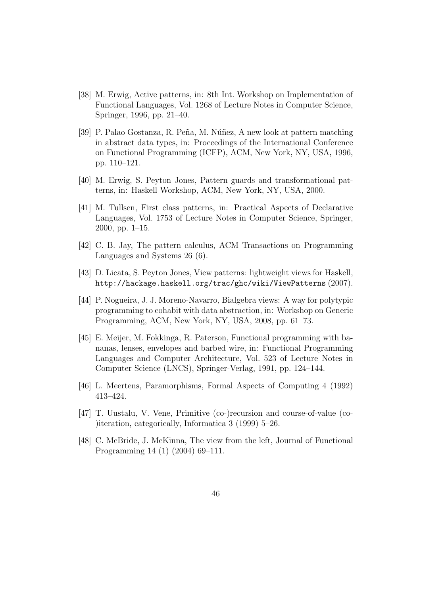- [38] M. Erwig, Active patterns, in: 8th Int. Workshop on Implementation of Functional Languages, Vol. 1268 of Lecture Notes in Computer Science, Springer, 1996, pp. 21–40.
- [39] P. Palao Gostanza, R. Peña, M. Núñez, A new look at pattern matching in abstract data types, in: Proceedings of the International Conference on Functional Programming (ICFP), ACM, New York, NY, USA, 1996, pp. 110–121.
- [40] M. Erwig, S. Peyton Jones, Pattern guards and transformational patterns, in: Haskell Workshop, ACM, New York, NY, USA, 2000.
- [41] M. Tullsen, First class patterns, in: Practical Aspects of Declarative Languages, Vol. 1753 of Lecture Notes in Computer Science, Springer, 2000, pp. 1–15.
- [42] C. B. Jay, The pattern calculus, ACM Transactions on Programming Languages and Systems 26 (6).
- [43] D. Licata, S. Peyton Jones, View patterns: lightweight views for Haskell, http://hackage.haskell.org/trac/ghc/wiki/ViewPatterns (2007).
- [44] P. Nogueira, J. J. Moreno-Navarro, Bialgebra views: A way for polytypic programming to cohabit with data abstraction, in: Workshop on Generic Programming, ACM, New York, NY, USA, 2008, pp. 61–73.
- [45] E. Meijer, M. Fokkinga, R. Paterson, Functional programming with bananas, lenses, envelopes and barbed wire, in: Functional Programming Languages and Computer Architecture, Vol. 523 of Lecture Notes in Computer Science (LNCS), Springer-Verlag, 1991, pp. 124–144.
- [46] L. Meertens, Paramorphisms, Formal Aspects of Computing 4 (1992) 413–424.
- [47] T. Uustalu, V. Vene, Primitive (co-)recursion and course-of-value (co- )iteration, categorically, Informatica 3 (1999) 5–26.
- [48] C. McBride, J. McKinna, The view from the left, Journal of Functional Programming 14 (1) (2004) 69–111.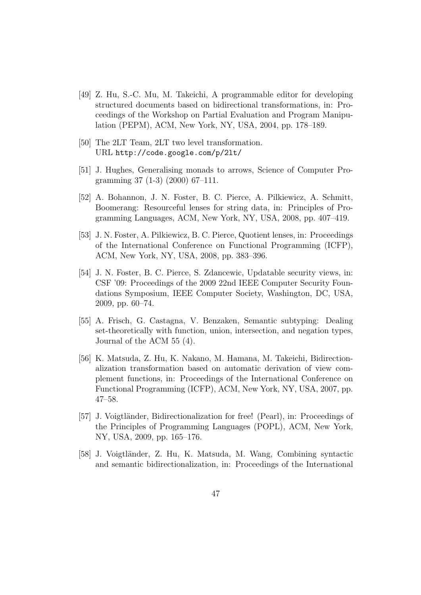- [49] Z. Hu, S.-C. Mu, M. Takeichi, A programmable editor for developing structured documents based on bidirectional transformations, in: Proceedings of the Workshop on Partial Evaluation and Program Manipulation (PEPM), ACM, New York, NY, USA, 2004, pp. 178–189.
- [50] The 2LT Team, 2LT two level transformation. URL http://code.google.com/p/2lt/
- [51] J. Hughes, Generalising monads to arrows, Science of Computer Programming 37 (1-3) (2000) 67–111.
- [52] A. Bohannon, J. N. Foster, B. C. Pierce, A. Pilkiewicz, A. Schmitt, Boomerang: Resourceful lenses for string data, in: Principles of Programming Languages, ACM, New York, NY, USA, 2008, pp. 407–419.
- [53] J. N. Foster, A. Pilkiewicz, B. C. Pierce, Quotient lenses, in: Proceedings of the International Conference on Functional Programming (ICFP), ACM, New York, NY, USA, 2008, pp. 383–396.
- [54] J. N. Foster, B. C. Pierce, S. Zdancewic, Updatable security views, in: CSF '09: Proceedings of the 2009 22nd IEEE Computer Security Foundations Symposium, IEEE Computer Society, Washington, DC, USA, 2009, pp. 60–74.
- [55] A. Frisch, G. Castagna, V. Benzaken, Semantic subtyping: Dealing set-theoretically with function, union, intersection, and negation types, Journal of the ACM 55 (4).
- [56] K. Matsuda, Z. Hu, K. Nakano, M. Hamana, M. Takeichi, Bidirectionalization transformation based on automatic derivation of view complement functions, in: Proceedings of the International Conference on Functional Programming (ICFP), ACM, New York, NY, USA, 2007, pp. 47–58.
- [57] J. Voigtländer, Bidirectionalization for free! (Pearl), in: Proceedings of the Principles of Programming Languages (POPL), ACM, New York, NY, USA, 2009, pp. 165–176.
- [58] J. Voigtländer, Z. Hu, K. Matsuda, M. Wang, Combining syntactic and semantic bidirectionalization, in: Proceedings of the International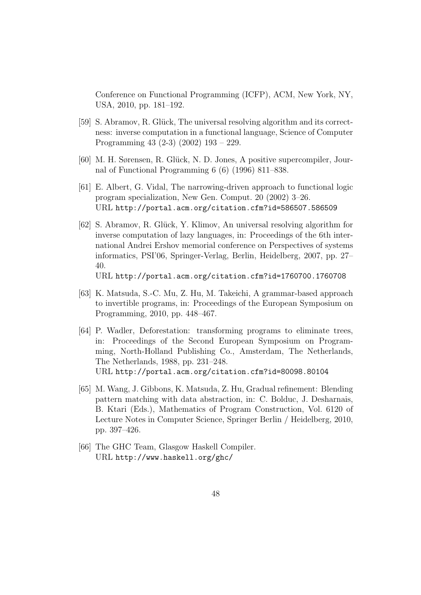Conference on Functional Programming (ICFP), ACM, New York, NY, USA, 2010, pp. 181–192.

- [59] S. Abramov, R. Glück, The universal resolving algorithm and its correctness: inverse computation in a functional language, Science of Computer Programming 43 (2-3) (2002) 193 – 229.
- [60] M. H. Sørensen, R. Gl¨uck, N. D. Jones, A positive supercompiler, Journal of Functional Programming 6 (6) (1996) 811–838.
- [61] E. Albert, G. Vidal, The narrowing-driven approach to functional logic program specialization, New Gen. Comput. 20 (2002) 3–26. URL http://portal.acm.org/citation.cfm?id=586507.586509
- [62] S. Abramov, R. Glück, Y. Klimov, An universal resolving algorithm for inverse computation of lazy languages, in: Proceedings of the 6th international Andrei Ershov memorial conference on Perspectives of systems informatics, PSI'06, Springer-Verlag, Berlin, Heidelberg, 2007, pp. 27– 40.

```
URL http://portal.acm.org/citation.cfm?id=1760700.1760708
```
- [63] K. Matsuda, S.-C. Mu, Z. Hu, M. Takeichi, A grammar-based approach to invertible programs, in: Proceedings of the European Symposium on Programming, 2010, pp. 448–467.
- [64] P. Wadler, Deforestation: transforming programs to eliminate trees, in: Proceedings of the Second European Symposium on Programming, North-Holland Publishing Co., Amsterdam, The Netherlands, The Netherlands, 1988, pp. 231–248. URL http://portal.acm.org/citation.cfm?id=80098.80104
- [65] M. Wang, J. Gibbons, K. Matsuda, Z. Hu, Gradual refinement: Blending pattern matching with data abstraction, in: C. Bolduc, J. Desharnais, B. Ktari (Eds.), Mathematics of Program Construction, Vol. 6120 of Lecture Notes in Computer Science, Springer Berlin / Heidelberg, 2010, pp. 397–426.
- [66] The GHC Team, Glasgow Haskell Compiler. URL http://www.haskell.org/ghc/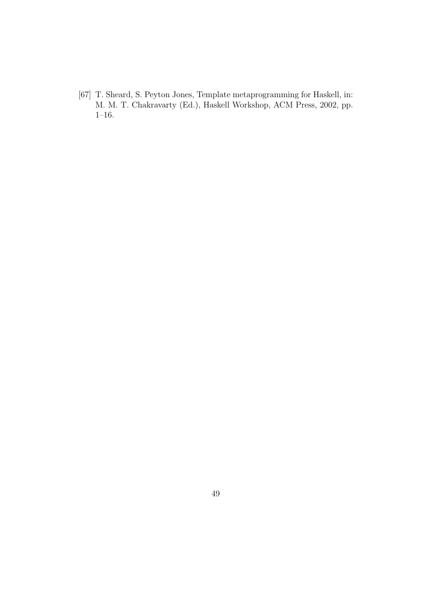[67] T. Sheard, S. Peyton Jones, Template metaprogramming for Haskell, in: M. M. T. Chakravarty (Ed.), Haskell Workshop, ACM Press, 2002, pp. 1–16.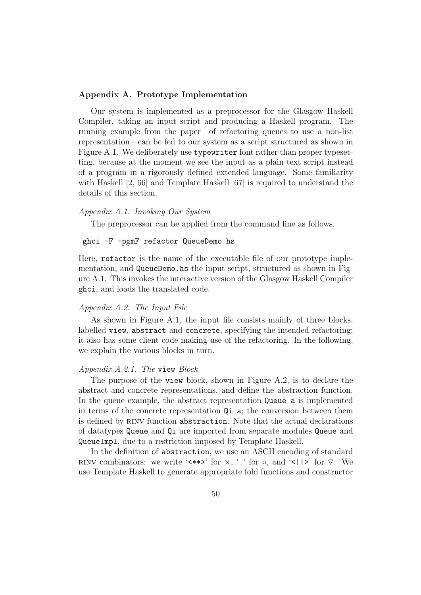#### **Appendix A. Prototype Implementation**

Our system is implemented as a preprocessor for the Glasgow Haskell Compiler, taking an input script and producing a Haskell program. The running example from the paper—of refactoring queues to use a non-list representation—can be fed to our system as a script structured as shown in Figure A.1. We deliberately use typewriter font rather than proper typesetting, because at the moment we see the input as a plain text script instead of a program in a rigorously defined extended language. Some familiarity with Haskell [2, 66] and Template Haskell [67] is required to understand the details of this section.

## *Appendix A.1. Invoking Our System*

The preprocessor can be applied from the command line as follows.

## ghci -F -pgmF refactor QueueDemo.hs

Here, refactor is the name of the executable file of our prototype implementation, and QueueDemo.hs the input script, structured as shown in Figure A.1. This invokes the interactive version of the Glasgow Haskell Compiler ghci, and loads the translated code.

## *Appendix A.2. The Input File*

As shown in Figure A.1, the input file consists mainly of three blocks, labelled view, abstract and concrete, specifying the intended refactoring; it also has some client code making use of the refactoring. In the following, we explain the various blocks in turn.

#### *Appendix A.2.1. The* view *Block*

The purpose of the view block, shown in Figure A.2, is to declare the abstract and concrete representations, and define the abstraction function. In the queue example, the abstract representation Queue a is implemented in terms of the concrete representation Qi a; the conversion between them is defined by rinv function abstraction. Note that the actual declarations of datatypes Queue and Qi are imported from separate modules Queue and QueueImpl, due to a restriction imposed by Template Haskell.

In the definition of abstraction, we use an ASCII encoding of standard rinv combinators: we write '<\*\*>' for *×*, '.' for *◦*, and '<||>' for ▽. We use Template Haskell to generate appropriate fold functions and constructor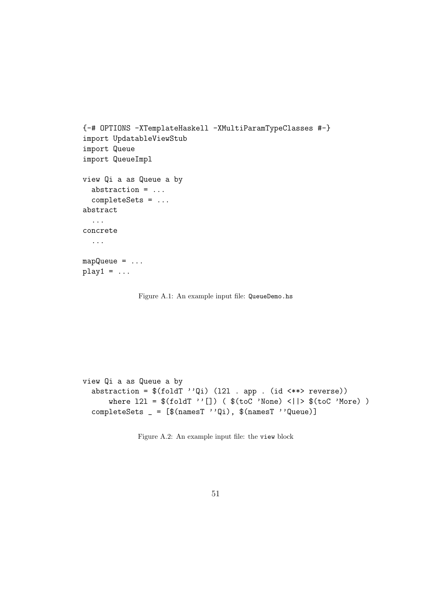```
{-# OPTIONS -XTemplateHaskell -XMultiParamTypeClasses #-}
import UpdatableViewStub
import Queue
import QueueImpl
view Qi a as Queue a by
  abstraction = \dotscompleteSets = ...
abstract
  ...
concrete
  ...
mapQueue = ...
play1 = ...
```
Figure A.1: An example input file: QueueDemo.hs

```
view Qi a as Queue a by
  abstraction = $(foldT'')Qi) (121 . app . (id <**> reverse))
      where 121 = $(foldT'')']) ($(totC'None) < ||>$(toC'Mone))
  completeSets _ = [\frac{\sqrt{q}}{q}], \frac{\sqrt{q}}{q} (namesT ''Queue)]
```
Figure A.2: An example input file: the view block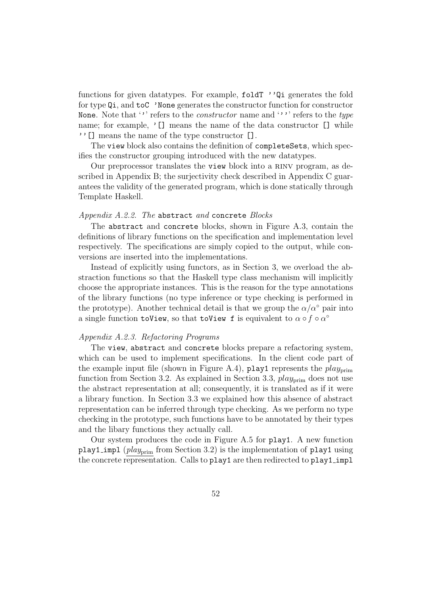functions for given datatypes. For example, foldT ''Qi generates the fold for type Qi, and toC 'None generates the constructor function for constructor None. Note that ''' refers to the *constructor* name and '''' refers to the *type* name; for example, '[] means the name of the data constructor [] while ''[] means the name of the type constructor [].

The view block also contains the definition of completeSets, which specifies the constructor grouping introduced with the new datatypes.

Our preprocessor translates the view block into a rinv program, as described in Appendix B; the surjectivity check described in Appendix C guarantees the validity of the generated program, which is done statically through Template Haskell.

#### *Appendix A.2.2. The* abstract *and* concrete *Blocks*

The abstract and concrete blocks, shown in Figure A.3, contain the definitions of library functions on the specification and implementation level respectively. The specifications are simply copied to the output, while conversions are inserted into the implementations.

Instead of explicitly using functors, as in Section 3, we overload the abstraction functions so that the Haskell type class mechanism will implicitly choose the appropriate instances. This is the reason for the type annotations of the library functions (no type inference or type checking is performed in the prototype). Another technical detail is that we group the  $\alpha/\alpha^{\circ}$  pair into a single function  $\texttt{toView}$ , so that  $\texttt{toView}$   $\texttt{f}$  is equivalent to  $\alpha \circ f \circ \alpha^{\circ}$ 

## *Appendix A.2.3. Refactoring Programs*

The view, abstract and concrete blocks prepare a refactoring system, which can be used to implement specifications. In the client code part of the example input file (shown in Figure A.4), play1 represents the  $play_{\text{prim}}$ function from Section 3.2. As explained in Section 3.3, *play*<sub>prim</sub> does not use the abstract representation at all; consequently, it is translated as if it were a library function. In Section 3.3 we explained how this absence of abstract representation can be inferred through type checking. As we perform no type checking in the prototype, such functions have to be annotated by their types and the libary functions they actually call.

Our system produces the code in Figure A.5 for play1. A new function play1 impl (*play*prim from Section 3.2) is the implementation of play1 using the concrete representation. Calls to play1 are then redirected to play1\_impl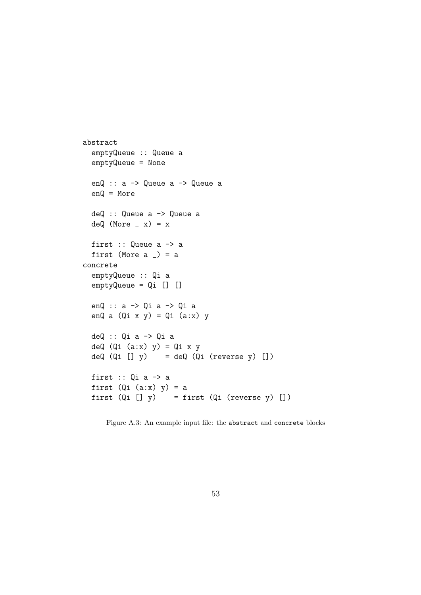```
abstract
 emptyQueue :: Queue a
 emptyQueue = None
 enQ :: a -> Queue a -> Queue a
 enQ = More
 deQ :: Queue a -> Queue a
 deQ (More _ x) = x
 first :: Queue a -> a
 first (More a ) = aconcrete
 emptyQueue :: Qi a
 emptyQueue = Qi [] []
 enQ :: a -> Qi a -> Qi a
 enQ a (Qi \times y) = Qi (azx) ydeQ :: Qi a -> Qi a
 deQ (Qi (a: x) y) = Qi x y
 deQ (Qi [] y) = deQ (Qi (reverse y) [])first :: Qi a -> a
 first (Qi (a:x) y) = afirst (Qi [] y) = first (Qi (reverse y) [])
```
Figure A.3: An example input file: the abstract and concrete blocks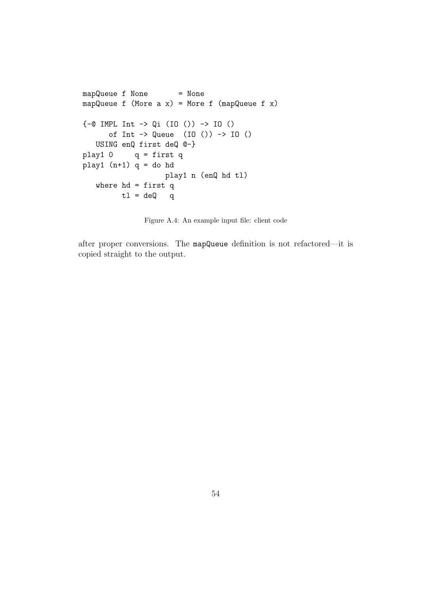```
mapQueue f None = None
mapQueue f (More a x) = More f (mapQueue f x){-@ IMPL Int -> Qi (IO ()) -> IO ()
     of Int -> Queue (IO ()) -> IO ()
   USING enQ first deQ @-}
play1 0 q = \text{first } qplay1 (n+1) q = do hd
                  play1 n (enQ hd tl)
   where hd = first qtl = deQ q
```
Figure A.4: An example input file: client code

after proper conversions. The mapQueue definition is not refactored—it is copied straight to the output.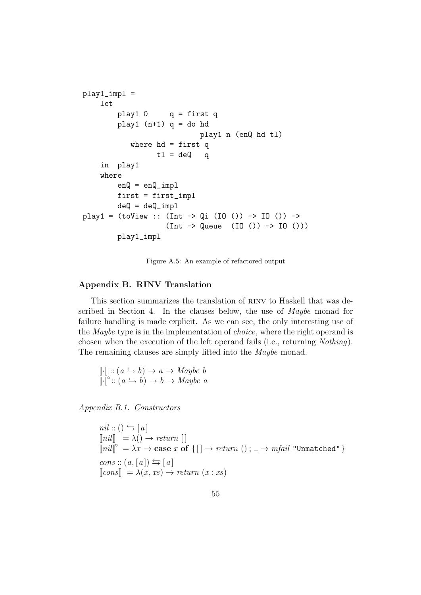```
play1_impl =
   let
       play1 0 q = first q
       play1 (n+1) q = do hd
                          play1 n (enQ hd tl)
          where hd = first qt1 = deQ q
   in play1
   where
       enQ = enQ_imp1first = first_impl
       deQ = deQ_iimpl
play1 = (toView :: (Int -> Qi (IO()) -> IO()) ->(int -> Queue (IO()) -> IO())play1_impl
```
Figure A.5: An example of refactored output

# **Appendix B. RINV Translation**

This section summarizes the translation of RINV to Haskell that was described in Section 4. In the clauses below, the use of *Maybe* monad for failure handling is made explicit. As we can see, the only interesting use of the *Maybe* type is in the implementation of *choice*, where the right operand is chosen when the execution of the left operand fails (i.e., returning *Nothing*). The remaining clauses are simply lifted into the *Maybe* monad.

 $\llbracket \cdot \rrbracket :: (a \leftrightarrows b) \rightarrow a \rightarrow Maybe \; b$  $\llbracket \cdot \rrbracket^{\circ}$  ::  $(a \leftrightarrows b) \rightarrow b \rightarrow$  *Maybe a* 

*Appendix B.1. Constructors*

 $nil :: () \leftrightarrows [a]$  $\lceil \lceil \text{nil} \rceil = \lambda() \rightarrow return \lceil \rceil$  $\overline{\parallel}nil\overline{\parallel}° = \lambda x \rightarrow \textbf{case} \ x \ \textbf{of} \ \{[] \rightarrow return \ (): \bot \rightarrow mfail \$  "Unmatched" }  $cons :: (a, [a]) \leftrightarrows [a]$  $\lceil \text{cons} \rceil = \lambda(x, xs) \rightarrow \text{return } (x: xs)$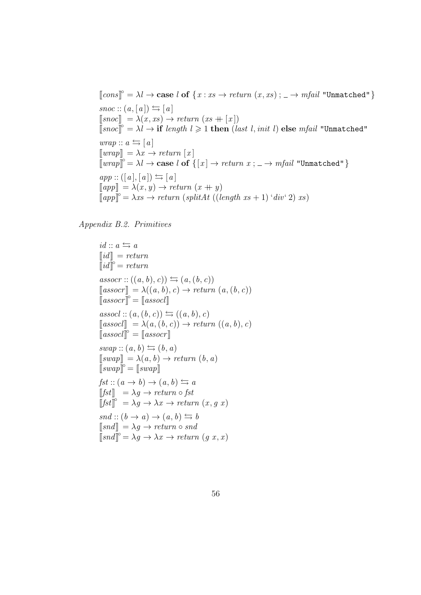$[cons]$ <sup> $\circ$ </sup> =  $\lambda$ *l*  $\rightarrow$  **case** *l* **of**  $\{x : xs \rightarrow return(x, xs) : \_\rightarrow mfail$  "Unmatched" $\}$  $snoc :: (a, [a]) \leftrightarrows [a]$  $\llbracket snoc \rrbracket = \lambda(x, xs) \rightarrow return (xs + \lceil x \rceil)$  $[\text{snoc}]^{\circ} = \lambda l \rightarrow \text{if } length \ l \geqslant 1 \text{ then } (last \ l, init \ l) \text{ else } mfail \$  "Unmatched" *wrap* ::  $a \leftrightharpoons a$  $\llbracket w \mid \text{map} \rrbracket = \lambda x \rightarrow \text{return } \llbracket x \rrbracket$  $[wmap]$ <sup> $\degree$ </sup> =  $\lambda$ *l*  $\rightarrow$  **case** *l* **of**  $\{[x] \rightarrow return x; \_\rightarrow \rightarrow mfail$  "Unmatched"}  $app::[a],[a]) \leftrightarrows [a]$  $[app] = \lambda(x, y) \rightarrow return(x + y)$  $\lceil \mathit{app} \rceil^{\circ} = \lambda \mathit{xs} \rightarrow \mathit{return} \ (\mathit{splitAt} \ ((\mathit{length} \ \mathit{xs} + 1) \ \mathit{`div} \ \mathit{`2}) \ \mathit{xs})$ 

*Appendix B.2. Primitives*

*id* ::  $a \nightharpoonup a$  $\lceil id \rceil = return$  $\llbracket id \rrbracket^{\circ} = return$  $\text{assoc } r: ((a, b), c)) \leftrightarrows (a, (b, c))$  $[lassocr] = \lambda((a, b), c) \rightarrow return(a, (b, c))$  $[assocr]$ <sup> $\circ$ </sup> =  $[assocl]$  $assocl :: (a, (b, c)) \leftrightarrows ((a, b), c)$  $[lassoc1] = \lambda(a, (b, c)) \rightarrow return ((a, b), c)$  $[$ *assocl*] $]$ <sup> $\circ$ </sup> =  $[$ *assocr*]  $swap :: (a, b) \leftrightarrows (b, a)$  $\llbracket \textit{swap} \rrbracket = \lambda(a, b) \rightarrow \textit{return } (b, a)$  $[[swap]^\circ = [[swap]]$  $fst :: (a \rightarrow b) \rightarrow (a, b) \leftrightarrows a$  $[$ *fst* $]$   $= \lambda g \rightarrow$  *return*  $\circ$  *fst*  $[$ *fst* $]^\circ$  =  $\lambda q \rightarrow \lambda x \rightarrow return(x, q, x)$  $snd :: (b \rightarrow a) \rightarrow (a, b) \leftrightarrows b$  $[[snd] = \lambda q \rightarrow return \circ snd$  $[\text{Snd}]^{\circ} = \lambda q \rightarrow \lambda x \rightarrow return (q x, x)$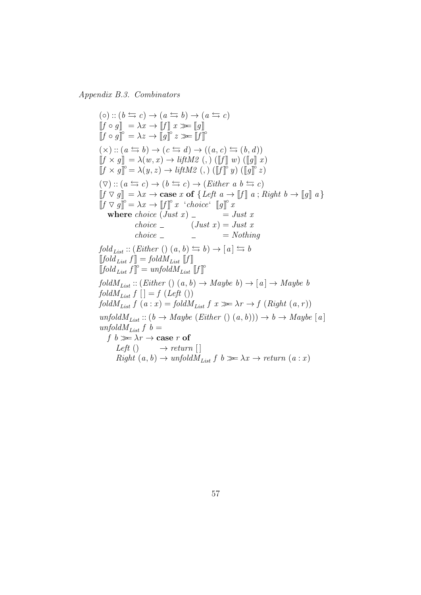*Appendix B.3. Combinators*

 $( \circ ) :: (b \leftrightarrows c) \rightarrow (a \leftrightarrows b) \rightarrow (a \leftrightarrows c)$  $[f \circ g] = \lambda x \to [f] x \mathbf{\gg} [g]$  $[f \circ g]^{\circ} = \lambda z \rightarrow [g]^{\circ} z \gg [f]^{\circ}$  $(\times) :: (a \leftrightarrows b) \rightarrow (c \leftrightarrows d) \rightarrow ((a, c) \leftrightarrows (b, d))$  $[[f \times g]] = \lambda(w, x) \rightarrow liftM2$  (, ) ( $[[f]]w$ ) ( $[[g]]x$ )  $[f \times g] \circlearrowright = \lambda(y, z) \rightarrow \text{liftM2}$  (, ) ( $[f] \circ y$ ) ( $[g] \circ z$ )  $(\nabla) :: (a \leftrightarrows c) \rightarrow (b \leftrightarrows c) \rightarrow (Either \ a \ b \leftrightarrows c)$  $[f \triangledown g] = \lambda x \rightarrow \text{case } x \text{ of } \{ \text{Left } a \rightarrow \llbracket f \rrbracket \} \{ a \mathrel{;} Right \{ b \rightarrow \llbracket g \rrbracket \} \{ a \}$  $[f \nabla g] \circ \negthinspace \circ \negthinspace \circ \negthinspace \circ \negthinspace \circ \negthinspace \circ \negthinspace \circ \negthinspace \circ \negthinspace \circ \negthinspace \circ \negthinspace \circ \negthinspace \circ \negthinspace \circ \negthinspace \circ \negthinspace \circ \negthinspace \circ \negthinspace \circ \negthinspace \circ \negthinspace \circ \negthinspace \circ \negthinspace \circ \negthinspace \circ \negthinspace \circ \negthinspace \circ \negthinspace \circ \negthinspace \circ \negthinspace \circ \negthinspace \circ \negthinspace \circ \negthinspace \circ \negthinspace \circ \negthinspace \circ \negthinspace \circ \negthinspace \circ \negthinspace \circ \negthinspace \circ \$ where *choice*  $(Just x)$  =  $Just x$  $choice =$  (*Just x*) = *Just x*  $choice =$   $= Not thing$  $fold_{List} :: (Either ( ) ( a, b) \leftrightarrows b ) \rightarrow [a] \leftrightarrows b$  $[[fold_{List} f]] = fold M_{List} [f]]$ [[*foldList f* ]]*◦* = *unfoldMList* [[*f* ]]*◦*  $f \text{old} M_{List} :: (Either\ ()\ (a, b) \rightarrow \text{Maybe}\ b) \rightarrow [a] \rightarrow \text{Maybe}\ b$  $f \text{old} M_{List} f [] = f (Left ())$ *foldM*<sub>*List</sub>*  $f(a : x) = f \circ b dM$ <sub>*List*</sub>  $f(x) \geq \lambda r \rightarrow f (Right(a, r))$ </sub>  $unfoldM_{List} :: (b \rightarrow Maybe (Either ()(a, b))) \rightarrow b \rightarrow Maybe [a]$  $unfoldM<sub>List</sub> f b =$  $f \not\rightarrow \infty$   $\lambda r \rightarrow \text{case } r \text{ of }$  $Left() \rightarrow return []$ *Right*  $(a, b) \rightarrow \text{unfold}M_{List} f b \gg \lambda x \rightarrow \text{return } (a : x)$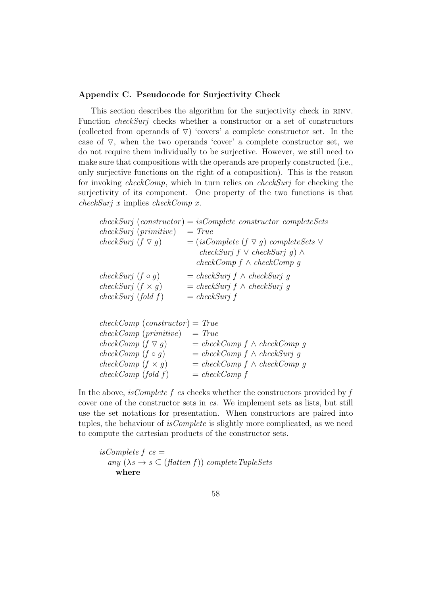## **Appendix C. Pseudocode for Surjectivity Check**

This section describes the algorithm for the surjectivity check in rinv. Function *checkSurj* checks whether a constructor or a set of constructors (collected from operands of  $\nabla$ ) 'covers' a complete constructor set. In the case of  $\nabla$ , when the two operands 'cover' a complete constructor set, we do not require them individually to be surjective. However, we still need to make sure that compositions with the operands are properly constructed (i.e., only surjective functions on the right of a composition). This is the reason for invoking *checkComp*, which in turn relies on *checkSurj* for checking the surjectivity of its component. One property of the two functions is that *checkSurj x* implies *checkComp x* .

|                                                                           | $checkSurj (constructor) = isComplete \ constructor \ complete Sets$                                                                          |
|---------------------------------------------------------------------------|-----------------------------------------------------------------------------------------------------------------------------------------------|
| $checkSurj$ (primitive)                                                   | $= True$                                                                                                                                      |
| checkSurj $(f \nabla g)$                                                  | $= (isComplete (f \triangledown g) completeSets \triangledown$<br>checkSurj $f \vee$ checkSurj $g \wedge$<br>$checkComp f \wedge checkComp g$ |
| checkSurj $(f \circ g)$<br>checkSurj $(f \times g)$<br>checkSurj (fold f) | $= checkSurj f \wedge checkSurj g$<br>$= checkSurj f \wedge checkSurj g$<br>$=$ checkSurj f                                                   |

| $checkComp (constructor) = True$  |                                    |
|-----------------------------------|------------------------------------|
| $checkComp$ (primitive)           | $= True$                           |
| $checkComp$ $(f \triangledown q)$ | $= checkComp f \wedge checkComp q$ |
| $checkComp(f \circ q)$            | $= checkComp f \wedge checkSurj g$ |
| $checkComp(f \times g)$           | $= checkComp f \wedge checkComp g$ |
| checkComp~(fold~f)                | $= checkComp f$                    |

In the above, *isComplete f cs* checks whether the constructors provided by *f* cover one of the constructor sets in *cs*. We implement sets as lists, but still use the set notations for presentation. When constructors are paired into tuples, the behaviour of *isComplete* is slightly more complicated, as we need to compute the cartesian products of the constructor sets.

*isComplete f cs* =  $\langle \textit{any} \rangle$  ( $\lambda s \rightarrow s \subseteq (\textit{flatten} \space f)$ )  $\textit{completeTuples}$ **where**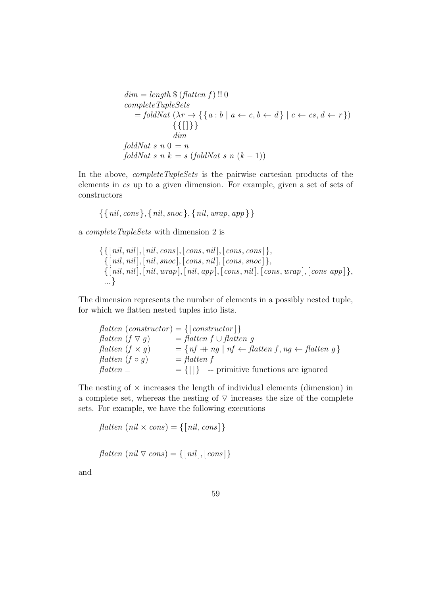$$
dim = length \$ (flatten f)!! 0
$$
  
completeTuplesets  

$$
= foldNat (\lambda r \rightarrow \{\{a:b \mid a \leftarrow c, b \leftarrow d\} \mid c \leftarrow cs, d \leftarrow r\})
$$
  

$$
\{\{\mid\}\}
$$
  
dom  
foldNat s n 0 = n  
foldNat s n k = s (foldNat s n (k - 1))

In the above, *completeTupleSets* is the pairwise cartesian products of the elements in *cs* up to a given dimension. For example, given a set of sets of constructors

$$
\{\{ \, nil, cons \}, \{ \, nil, snoc \}, \{ \, nil, wrap, app \} \}
$$

a *completeTupleSets* with dimension 2 is

$$
\{ \{ [nil, nil], [nil, cons], [cons, nil], [cons, cons] \},\
$$

$$
\{ [nil, nil], [nil, snoc], [cons, nil], [cons, snoc] \},\
$$

$$
\{ [nil, nil], [nil, wrap], [nil, app], [cons, nil], [cons, wrap], [cons, app] \},\
$$

The dimension represents the number of elements in a possibly nested tuple, for which we flatten nested tuples into lists.

|                        | $\text{flatten } (constructor) = \{ [ constructor] \}$                |
|------------------------|-----------------------------------------------------------------------|
| flatten $(f \nabla q)$ | $=$ flatten f $\cup$ flatten q                                        |
| flatten $(f \times g)$ | $=\{ nf + ng \mid nf \leftarrow flatten f, ng \leftarrow flatten g\}$ |
| flatten $(f \circ g)$  | $=$ flatten f                                                         |
| $f$ <i>latten</i> $=$  | $= \{   \}$ -- primitive functions are ignored                        |

The nesting of  $\times$  increases the length of individual elements (dimension) in a complete set, whereas the nesting of  $\nabla$  increases the size of the complete sets. For example, we have the following executions

```
flatten (nil \times cons) = \{ [nil, cons] \}flatten (nil \vee cons) = \{ [nil], [cons] \}
```
and